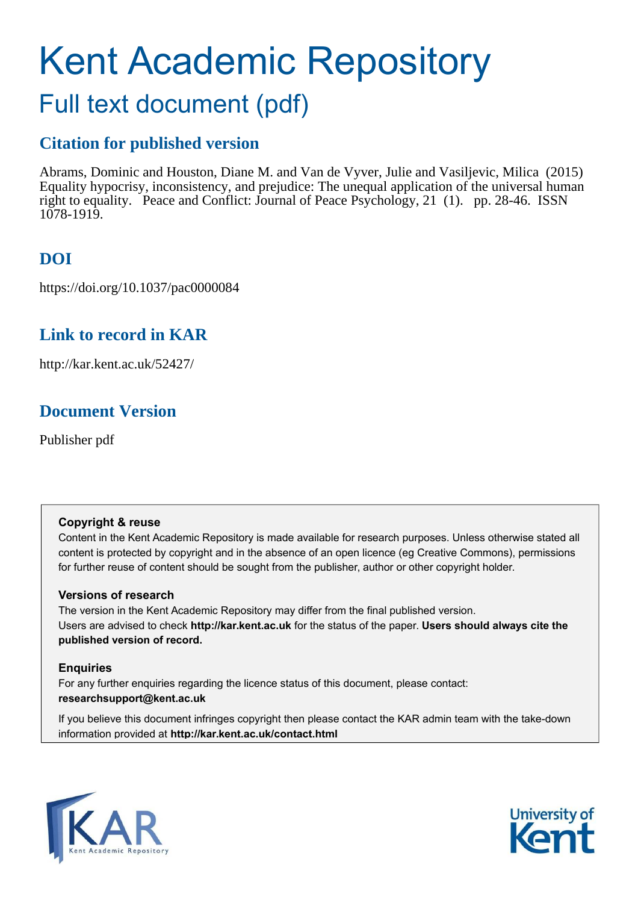# Kent Academic Repository

# Full text document (pdf)

# **Citation for published version**

Abrams, Dominic and Houston, Diane M. and Van de Vyver, Julie and Vasiljevic, Milica (2015) Equality hypocrisy, inconsistency, and prejudice: The unequal application of the universal human right to equality. Peace and Conflict: Journal of Peace Psychology, 21 (1). pp. 28-46. ISSN 1078-1919.

# **DOI**

https://doi.org/10.1037/pac0000084

# **Link to record in KAR**

http://kar.kent.ac.uk/52427/

# **Document Version**

Publisher pdf

## **Copyright & reuse**

Content in the Kent Academic Repository is made available for research purposes. Unless otherwise stated all content is protected by copyright and in the absence of an open licence (eg Creative Commons), permissions for further reuse of content should be sought from the publisher, author or other copyright holder.

## **Versions of research**

The version in the Kent Academic Repository may differ from the final published version. Users are advised to check **http://kar.kent.ac.uk** for the status of the paper. **Users should always cite the published version of record.**

## **Enquiries**

For any further enquiries regarding the licence status of this document, please contact: **researchsupport@kent.ac.uk**

If you believe this document infringes copyright then please contact the KAR admin team with the take-down information provided at **http://kar.kent.ac.uk/contact.html**



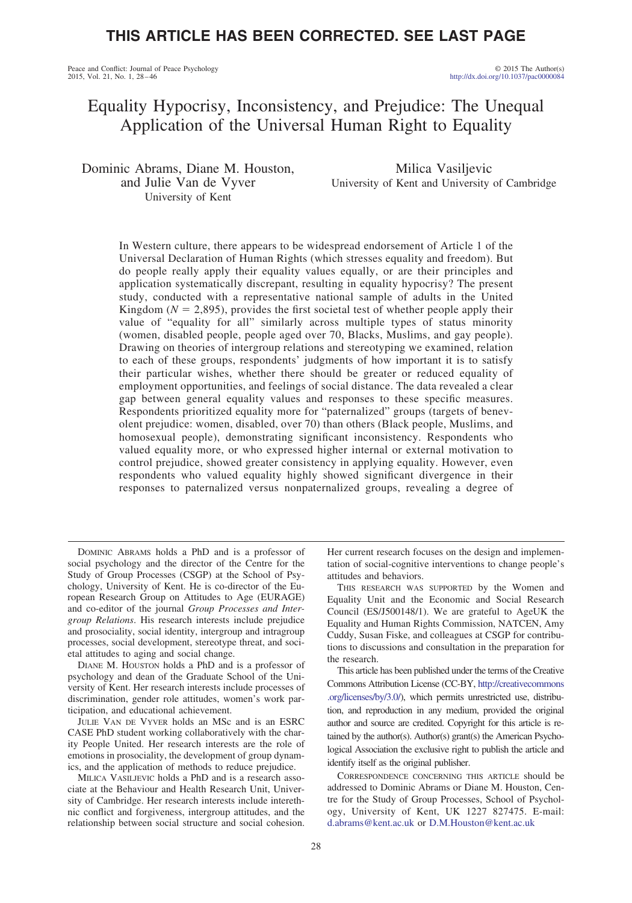### **THIS ARTICLE HAS BEEN CORRECTED. SEE LAST PAGE**

Peace and Conflict: Journal of Peace Psychology © 2015 The Author(s)

## Equality Hypocrisy, Inconsistency, and Prejudice: The Unequal Application of the Universal Human Right to Equality

Dominic Abrams, Diane M. Houston, and Julie Van de Vyver University of Kent

Milica Vasiljevic University of Kent and University of Cambridge

In Western culture, there appears to be widespread endorsement of Article 1 of the Universal Declaration of Human Rights (which stresses equality and freedom). But do people really apply their equality values equally, or are their principles and application systematically discrepant, resulting in equality hypocrisy? The present study, conducted with a representative national sample of adults in the United Kingdom ( $N = 2,895$ ), provides the first societal test of whether people apply their value of "equality for all" similarly across multiple types of status minority (women, disabled people, people aged over 70, Blacks, Muslims, and gay people). Drawing on theories of intergroup relations and stereotyping we examined, relation to each of these groups, respondents' judgments of how important it is to satisfy their particular wishes, whether there should be greater or reduced equality of employment opportunities, and feelings of social distance. The data revealed a clear gap between general equality values and responses to these specific measures. Respondents prioritized equality more for "paternalized" groups (targets of benevolent prejudice: women, disabled, over 70) than others (Black people, Muslims, and homosexual people), demonstrating significant inconsistency. Respondents who valued equality more, or who expressed higher internal or external motivation to control prejudice, showed greater consistency in applying equality. However, even respondents who valued equality highly showed significant divergence in their responses to paternalized versus nonpaternalized groups, revealing a degree of

DOMINIC ABRAMS holds a PhD and is a professor of social psychology and the director of the Centre for the Study of Group Processes (CSGP) at the School of Psychology, University of Kent. He is co-director of the European Research Group on Attitudes to Age (EURAGE) and co-editor of the journal *Group Processes and Intergroup Relations*. His research interests include prejudice and prosociality, social identity, intergroup and intragroup processes, social development, stereotype threat, and societal attitudes to aging and social change.

DIANE M. HOUSTON holds a PhD and is a professor of psychology and dean of the Graduate School of the University of Kent. Her research interests include processes of discrimination, gender role attitudes, women's work participation, and educational achievement.

JULIE VAN DE VYVER holds an MSc and is an ESRC CASE PhD student working collaboratively with the charity People United. Her research interests are the role of emotions in prosociality, the development of group dynamics, and the application of methods to reduce prejudice.

MILICA VASILJEVIC holds a PhD and is a research associate at the Behaviour and Health Research Unit, University of Cambridge. Her research interests include interethnic conflict and forgiveness, intergroup attitudes, and the relationship between social structure and social cohesion. Her current research focuses on the design and implementation of social-cognitive interventions to change people's attitudes and behaviors.

THIS RESEARCH WAS SUPPORTED by the Women and Equality Unit and the Economic and Social Research Council (ES/J500148/1). We are grateful to AgeUK the Equality and Human Rights Commission, NATCEN, Amy Cuddy, Susan Fiske, and colleagues at CSGP for contributions to discussions and consultation in the preparation for the research.

This article has been published under the terms of the Creative Commons Attribution License (CC-BY, [http://creativecommons](http://creativecommons.org/licenses/by/3.0/) [.org/licenses/by/3.0/\)](http://creativecommons.org/licenses/by/3.0/), which permits unrestricted use, distribution, and reproduction in any medium, provided the original author and source are credited. Copyright for this article is retained by the author(s). Author(s) grant(s) the American Psychological Association the exclusive right to publish the article and identify itself as the original publisher.

CORRESPONDENCE CONCERNING THIS ARTICLE should be addressed to Dominic Abrams or Diane M. Houston, Centre for the Study of Group Processes, School of Psychology, University of Kent, UK 1227 827475. E-mail: [d.abrams@kent.ac.uk](mailto:d.abrams@kent.ac.uk) or [D.M.Houston@kent.ac.uk](mailto:d.abrams@kent.ac.uk)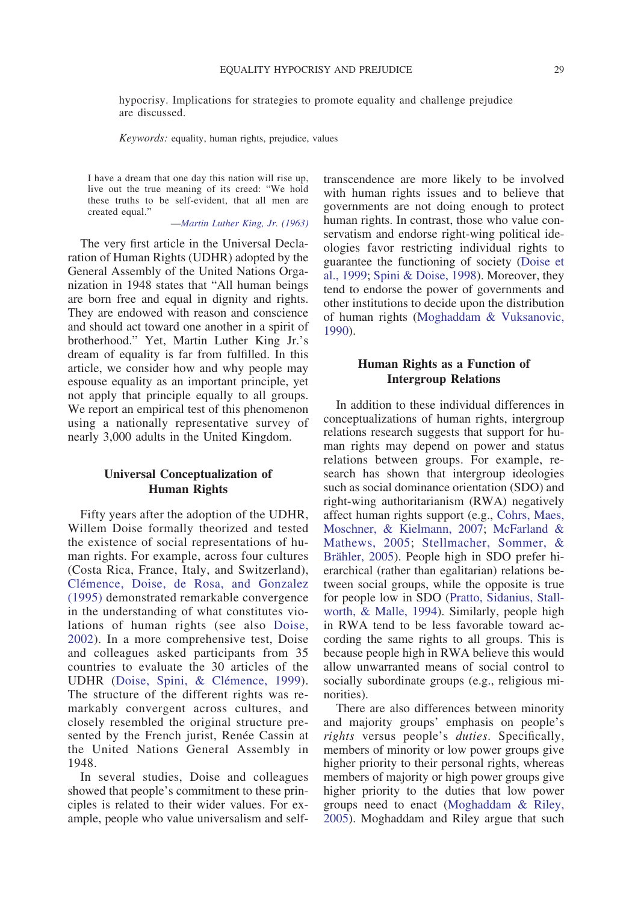hypocrisy. Implications for strategies to promote equality and challenge prejudice are discussed.

*Keywords:* equality, human rights, prejudice, values

I have a dream that one day this nation will rise up, live out the true meaning of its creed: "We hold these truths to be self-evident, that all men are created equal."

—*[Martin Luther King, Jr. \(1963\)](#page-17-0)*

The very first article in the Universal Declaration of Human Rights (UDHR) adopted by the General Assembly of the United Nations Organization in 1948 states that "All human beings are born free and equal in dignity and rights. They are endowed with reason and conscience and should act toward one another in a spirit of brotherhood." Yet, Martin Luther King Jr.'s dream of equality is far from fulfilled. In this article, we consider how and why people may espouse equality as an important principle, yet not apply that principle equally to all groups. We report an empirical test of this phenomenon using a nationally representative survey of nearly 3,000 adults in the United Kingdom.

#### **Universal Conceptualization of Human Rights**

Fifty years after the adoption of the UDHR, Willem Doise formally theorized and tested the existence of social representations of human rights. For example, across four cultures (Costa Rica, France, Italy, and Switzerland), [Clémence, Doise, de Rosa, and Gonzalez](#page-16-0) [\(1995\)](#page-16-0) demonstrated remarkable convergence in the understanding of what constitutes violations of human rights (see also [Doise,](#page-17-1) [2002\)](#page-17-1). In a more comprehensive test, Doise and colleagues asked participants from 35 countries to evaluate the 30 articles of the UDHR [\(Doise, Spini, & Clémence, 1999\)](#page-17-2). The structure of the different rights was remarkably convergent across cultures, and closely resembled the original structure presented by the French jurist, Renée Cassin at the United Nations General Assembly in 1948.

In several studies, Doise and colleagues showed that people's commitment to these principles is related to their wider values. For example, people who value universalism and self-

transcendence are more likely to be involved with human rights issues and to believe that governments are not doing enough to protect human rights. In contrast, those who value conservatism and endorse right-wing political ideologies favor restricting individual rights to guarantee the functioning of society [\(Doise et](#page-17-2) [al., 1999;](#page-17-2) [Spini & Doise, 1998\)](#page-18-0). Moreover, they tend to endorse the power of governments and other institutions to decide upon the distribution of human rights [\(Moghaddam & Vuksanovic,](#page-18-1) [1990\)](#page-18-1).

#### **Human Rights as a Function of Intergroup Relations**

In addition to these individual differences in conceptualizations of human rights, intergroup relations research suggests that support for human rights may depend on power and status relations between groups. For example, research has shown that intergroup ideologies such as social dominance orientation (SDO) and right-wing authoritarianism (RWA) negatively affect human rights support (e.g., [Cohrs, Maes,](#page-17-3) [Moschner, & Kielmann, 2007;](#page-17-3) [McFarland &](#page-18-2) [Mathews, 2005;](#page-18-2) [Stellmacher, Sommer, &](#page-18-3) [Brähler, 2005\)](#page-18-3). People high in SDO prefer hierarchical (rather than egalitarian) relations between social groups, while the opposite is true for people low in SDO [\(Pratto, Sidanius, Stall](#page-18-4)[worth, & Malle, 1994\)](#page-18-4). Similarly, people high in RWA tend to be less favorable toward according the same rights to all groups. This is because people high in RWA believe this would allow unwarranted means of social control to socially subordinate groups (e.g., religious minorities).

There are also differences between minority and majority groups' emphasis on people's *rights* versus people's *duties*. Specifically, members of minority or low power groups give higher priority to their personal rights, whereas members of majority or high power groups give higher priority to the duties that low power groups need to enact [\(Moghaddam & Riley,](#page-18-5) [2005\)](#page-18-5). Moghaddam and Riley argue that such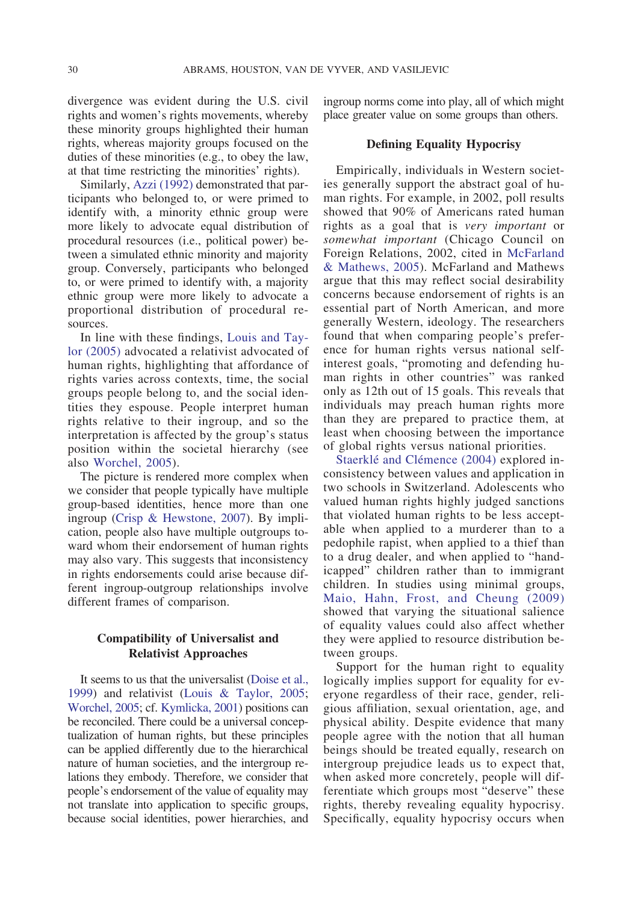divergence was evident during the U.S. civil rights and women's rights movements, whereby these minority groups highlighted their human rights, whereas majority groups focused on the duties of these minorities (e.g., to obey the law, at that time restricting the minorities' rights).

Similarly, [Azzi \(1992\)](#page-16-1) demonstrated that participants who belonged to, or were primed to identify with, a minority ethnic group were more likely to advocate equal distribution of procedural resources (i.e., political power) between a simulated ethnic minority and majority group. Conversely, participants who belonged to, or were primed to identify with, a majority ethnic group were more likely to advocate a proportional distribution of procedural resources.

In line with these findings, [Louis and Tay](#page-18-6)[lor \(2005\)](#page-18-6) advocated a relativist advocated of human rights, highlighting that affordance of rights varies across contexts, time, the social groups people belong to, and the social identities they espouse. People interpret human rights relative to their ingroup, and so the interpretation is affected by the group's status position within the societal hierarchy (see also [Worchel, 2005\)](#page-18-7).

The picture is rendered more complex when we consider that people typically have multiple group-based identities, hence more than one ingroup [\(Crisp & Hewstone, 2007\)](#page-17-4). By implication, people also have multiple outgroups toward whom their endorsement of human rights may also vary. This suggests that inconsistency in rights endorsements could arise because different ingroup-outgroup relationships involve different frames of comparison.

#### **Compatibility of Universalist and Relativist Approaches**

It seems to us that the universalist [\(Doise et al.,](#page-17-2) [1999\)](#page-17-2) and relativist [\(Louis & Taylor, 2005;](#page-18-6) [Worchel, 2005;](#page-18-7) cf. [Kymlicka, 2001\)](#page-17-5) positions can be reconciled. There could be a universal conceptualization of human rights, but these principles can be applied differently due to the hierarchical nature of human societies, and the intergroup relations they embody. Therefore, we consider that people's endorsement of the value of equality may not translate into application to specific groups, because social identities, power hierarchies, and ingroup norms come into play, all of which might place greater value on some groups than others.

#### **Defining Equality Hypocrisy**

Empirically, individuals in Western societies generally support the abstract goal of human rights. For example, in 2002, poll results showed that 90% of Americans rated human rights as a goal that is *very important* or *somewhat important* (Chicago Council on Foreign Relations, 2002, cited in [McFarland](#page-18-2) [& Mathews, 2005\)](#page-18-2). McFarland and Mathews argue that this may reflect social desirability concerns because endorsement of rights is an essential part of North American, and more generally Western, ideology. The researchers found that when comparing people's preference for human rights versus national selfinterest goals, "promoting and defending human rights in other countries" was ranked only as 12th out of 15 goals. This reveals that individuals may preach human rights more than they are prepared to practice them, at least when choosing between the importance of global rights versus national priorities.

[Staerklé and Clémence \(2004\)](#page-18-8) explored inconsistency between values and application in two schools in Switzerland. Adolescents who valued human rights highly judged sanctions that violated human rights to be less acceptable when applied to a murderer than to a pedophile rapist, when applied to a thief than to a drug dealer, and when applied to "handicapped" children rather than to immigrant children. In studies using minimal groups, [Maio, Hahn, Frost, and Cheung \(2009\)](#page-18-9) showed that varying the situational salience of equality values could also affect whether they were applied to resource distribution between groups.

Support for the human right to equality logically implies support for equality for everyone regardless of their race, gender, religious affiliation, sexual orientation, age, and physical ability. Despite evidence that many people agree with the notion that all human beings should be treated equally, research on intergroup prejudice leads us to expect that, when asked more concretely, people will differentiate which groups most "deserve" these rights, thereby revealing equality hypocrisy. Specifically, equality hypocrisy occurs when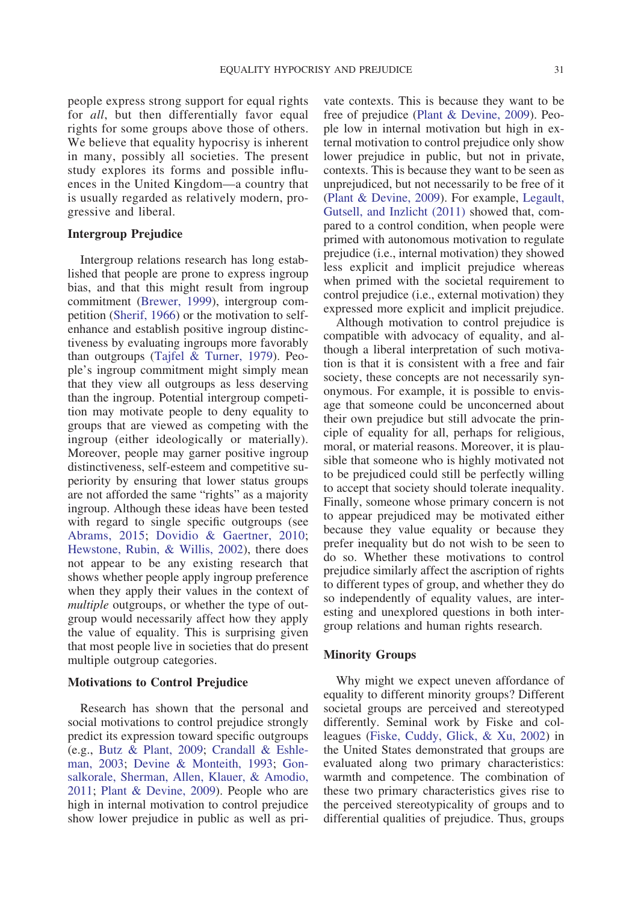people express strong support for equal rights for *all*, but then differentially favor equal rights for some groups above those of others. We believe that equality hypocrisy is inherent in many, possibly all societies. The present study explores its forms and possible influences in the United Kingdom—a country that is usually regarded as relatively modern, progressive and liberal.

#### **Intergroup Prejudice**

Intergroup relations research has long established that people are prone to express ingroup bias, and that this might result from ingroup commitment [\(Brewer, 1999\)](#page-16-2), intergroup competition [\(Sherif, 1966\)](#page-18-10) or the motivation to selfenhance and establish positive ingroup distinctiveness by evaluating ingroups more favorably than outgroups [\(Tajfel & Turner, 1979\)](#page-18-11). People's ingroup commitment might simply mean that they view all outgroups as less deserving than the ingroup. Potential intergroup competition may motivate people to deny equality to groups that are viewed as competing with the ingroup (either ideologically or materially). Moreover, people may garner positive ingroup distinctiveness, self-esteem and competitive superiority by ensuring that lower status groups are not afforded the same "rights" as a majority ingroup. Although these ideas have been tested with regard to single specific outgroups (see [Abrams, 2015;](#page-16-3) [Dovidio & Gaertner, 2010;](#page-17-6) [Hewstone, Rubin, & Willis, 2002\)](#page-17-7), there does not appear to be any existing research that shows whether people apply ingroup preference when they apply their values in the context of *multiple* outgroups, or whether the type of outgroup would necessarily affect how they apply the value of equality. This is surprising given that most people live in societies that do present multiple outgroup categories.

#### **Motivations to Control Prejudice**

Research has shown that the personal and social motivations to control prejudice strongly predict its expression toward specific outgroups (e.g., [Butz & Plant, 2009;](#page-16-4) [Crandall & Eshle](#page-17-8)[man, 2003;](#page-17-8) [Devine & Monteith, 1993;](#page-17-9) [Gon](#page-17-10)[salkorale, Sherman, Allen, Klauer, & Amodio,](#page-17-10) [2011;](#page-17-10) [Plant & Devine, 2009\)](#page-18-12). People who are high in internal motivation to control prejudice show lower prejudice in public as well as pri-

vate contexts. This is because they want to be free of prejudice [\(Plant & Devine, 2009\)](#page-18-12). People low in internal motivation but high in external motivation to control prejudice only show lower prejudice in public, but not in private, contexts. This is because they want to be seen as unprejudiced, but not necessarily to be free of it [\(Plant & Devine, 2009\)](#page-18-12). For example, [Legault,](#page-17-11) [Gutsell, and Inzlicht \(2011\)](#page-17-11) showed that, compared to a control condition, when people were primed with autonomous motivation to regulate prejudice (i.e., internal motivation) they showed less explicit and implicit prejudice whereas when primed with the societal requirement to control prejudice (i.e., external motivation) they expressed more explicit and implicit prejudice.

Although motivation to control prejudice is compatible with advocacy of equality, and although a liberal interpretation of such motivation is that it is consistent with a free and fair society, these concepts are not necessarily synonymous. For example, it is possible to envisage that someone could be unconcerned about their own prejudice but still advocate the principle of equality for all, perhaps for religious, moral, or material reasons. Moreover, it is plausible that someone who is highly motivated not to be prejudiced could still be perfectly willing to accept that society should tolerate inequality. Finally, someone whose primary concern is not to appear prejudiced may be motivated either because they value equality or because they prefer inequality but do not wish to be seen to do so. Whether these motivations to control prejudice similarly affect the ascription of rights to different types of group, and whether they do so independently of equality values, are interesting and unexplored questions in both intergroup relations and human rights research.

#### **Minority Groups**

Why might we expect uneven affordance of equality to different minority groups? Different societal groups are perceived and stereotyped differently. Seminal work by Fiske and colleagues [\(Fiske, Cuddy, Glick, & Xu, 2002\)](#page-17-12) in the United States demonstrated that groups are evaluated along two primary characteristics: warmth and competence. The combination of these two primary characteristics gives rise to the perceived stereotypicality of groups and to differential qualities of prejudice. Thus, groups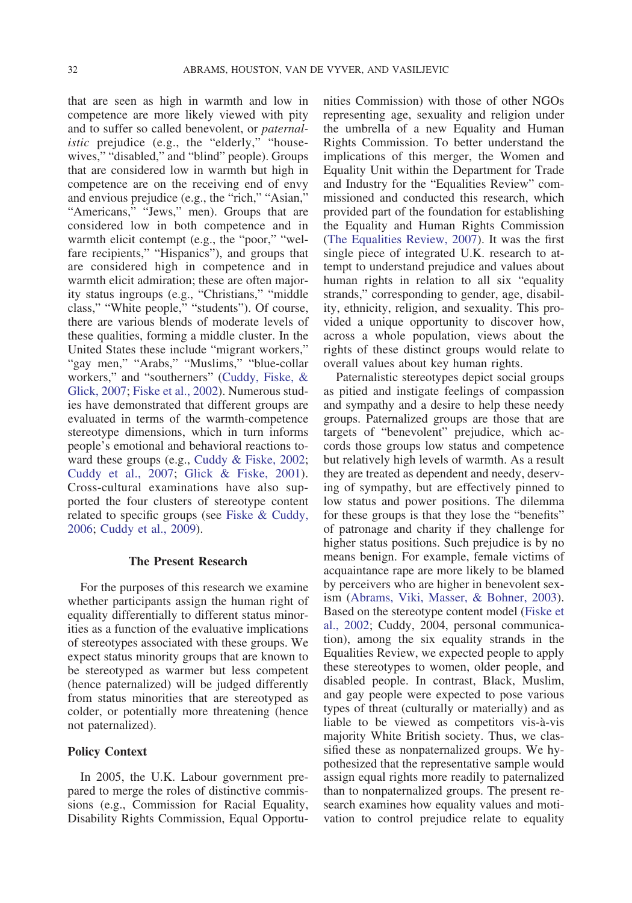that are seen as high in warmth and low in competence are more likely viewed with pity and to suffer so called benevolent, or *paternalistic* prejudice (e.g., the "elderly," "housewives," "disabled," and "blind" people). Groups that are considered low in warmth but high in competence are on the receiving end of envy and envious prejudice (e.g., the "rich," "Asian," "Americans," "Jews," men). Groups that are considered low in both competence and in warmth elicit contempt (e.g., the "poor," "welfare recipients," "Hispanics"), and groups that are considered high in competence and in warmth elicit admiration; these are often majority status ingroups (e.g., "Christians," "middle class," "White people," "students"). Of course, there are various blends of moderate levels of these qualities, forming a middle cluster. In the United States these include "migrant workers," "gay men," "Arabs," "Muslims," "blue-collar workers," and "southerners" [\(Cuddy, Fiske, &](#page-17-13) [Glick, 2007;](#page-17-13) [Fiske et al., 2002\)](#page-17-12). Numerous studies have demonstrated that different groups are evaluated in terms of the warmth-competence stereotype dimensions, which in turn informs people's emotional and behavioral reactions toward these groups (e.g., [Cuddy & Fiske, 2002;](#page-17-14) [Cuddy et al., 2007;](#page-17-13) [Glick & Fiske, 2001\)](#page-17-15). Cross-cultural examinations have also supported the four clusters of stereotype content related to specific groups (see [Fiske & Cuddy,](#page-17-16) [2006;](#page-17-16) [Cuddy et al., 2009\)](#page-17-17).

#### **The Present Research**

For the purposes of this research we examine whether participants assign the human right of equality differentially to different status minorities as a function of the evaluative implications of stereotypes associated with these groups. We expect status minority groups that are known to be stereotyped as warmer but less competent (hence paternalized) will be judged differently from status minorities that are stereotyped as colder, or potentially more threatening (hence not paternalized).

#### **Policy Context**

In 2005, the U.K. Labour government prepared to merge the roles of distinctive commissions (e.g., Commission for Racial Equality, Disability Rights Commission, Equal Opportunities Commission) with those of other NGOs representing age, sexuality and religion under the umbrella of a new Equality and Human Rights Commission. To better understand the implications of this merger, the Women and Equality Unit within the Department for Trade and Industry for the "Equalities Review" commissioned and conducted this research, which provided part of the foundation for establishing the Equality and Human Rights Commission [\(The Equalities Review, 2007\)](#page-18-13). It was the first single piece of integrated U.K. research to attempt to understand prejudice and values about human rights in relation to all six "equality strands," corresponding to gender, age, disability, ethnicity, religion, and sexuality. This provided a unique opportunity to discover how, across a whole population, views about the rights of these distinct groups would relate to overall values about key human rights.

Paternalistic stereotypes depict social groups as pitied and instigate feelings of compassion and sympathy and a desire to help these needy groups. Paternalized groups are those that are targets of "benevolent" prejudice, which accords those groups low status and competence but relatively high levels of warmth. As a result they are treated as dependent and needy, deserving of sympathy, but are effectively pinned to low status and power positions. The dilemma for these groups is that they lose the "benefits" of patronage and charity if they challenge for higher status positions. Such prejudice is by no means benign. For example, female victims of acquaintance rape are more likely to be blamed by perceivers who are higher in benevolent sexism [\(Abrams, Viki, Masser, & Bohner, 2003\)](#page-16-5). Based on the stereotype content model [\(Fiske et](#page-17-12) [al., 2002;](#page-17-12) Cuddy, 2004, personal communication), among the six equality strands in the Equalities Review, we expected people to apply these stereotypes to women, older people, and disabled people. In contrast, Black, Muslim, and gay people were expected to pose various types of threat (culturally or materially) and as liable to be viewed as competitors vis-à-vis majority White British society. Thus, we classified these as nonpaternalized groups. We hypothesized that the representative sample would assign equal rights more readily to paternalized than to nonpaternalized groups. The present research examines how equality values and motivation to control prejudice relate to equality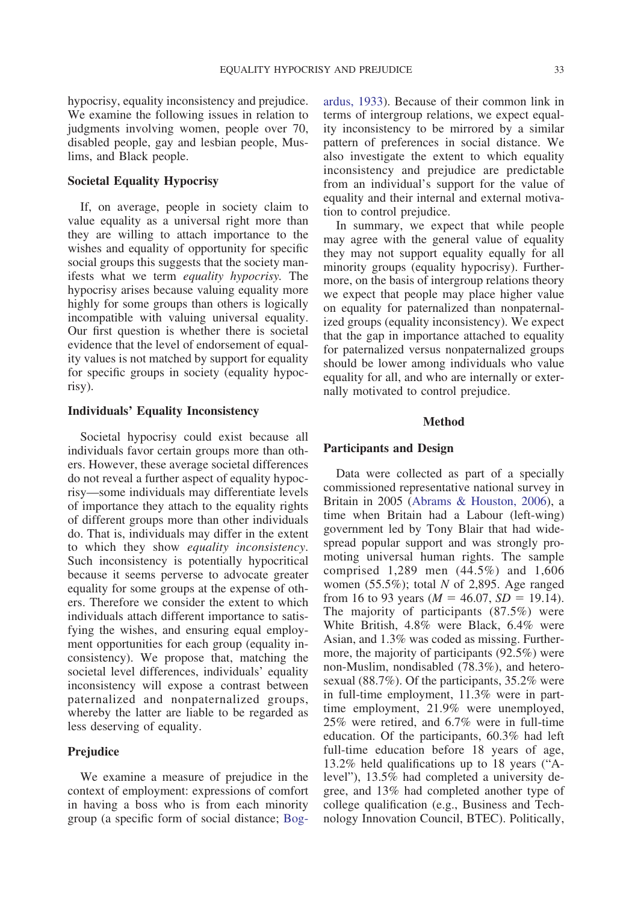hypocrisy, equality inconsistency and prejudice. We examine the following issues in relation to judgments involving women, people over 70, disabled people, gay and lesbian people, Muslims, and Black people.

#### **Societal Equality Hypocrisy**

If, on average, people in society claim to value equality as a universal right more than they are willing to attach importance to the wishes and equality of opportunity for specific social groups this suggests that the society manifests what we term *equality hypocrisy.* The hypocrisy arises because valuing equality more highly for some groups than others is logically incompatible with valuing universal equality. Our first question is whether there is societal evidence that the level of endorsement of equality values is not matched by support for equality for specific groups in society (equality hypocrisy).

#### **Individuals' Equality Inconsistency**

Societal hypocrisy could exist because all individuals favor certain groups more than others. However, these average societal differences do not reveal a further aspect of equality hypocrisy—some individuals may differentiate levels of importance they attach to the equality rights of different groups more than other individuals do. That is, individuals may differ in the extent to which they show *equality inconsistency*. Such inconsistency is potentially hypocritical because it seems perverse to advocate greater equality for some groups at the expense of others. Therefore we consider the extent to which individuals attach different importance to satisfying the wishes, and ensuring equal employment opportunities for each group (equality inconsistency). We propose that, matching the societal level differences, individuals' equality inconsistency will expose a contrast between paternalized and nonpaternalized groups, whereby the latter are liable to be regarded as less deserving of equality.

#### **Prejudice**

We examine a measure of prejudice in the context of employment: expressions of comfort in having a boss who is from each minority group (a specific form of social distance; [Bog-](#page-16-6) [ardus, 1933\)](#page-16-6). Because of their common link in terms of intergroup relations, we expect equality inconsistency to be mirrored by a similar pattern of preferences in social distance. We also investigate the extent to which equality inconsistency and prejudice are predictable from an individual's support for the value of equality and their internal and external motivation to control prejudice.

In summary, we expect that while people may agree with the general value of equality they may not support equality equally for all minority groups (equality hypocrisy). Furthermore, on the basis of intergroup relations theory we expect that people may place higher value on equality for paternalized than nonpaternalized groups (equality inconsistency). We expect that the gap in importance attached to equality for paternalized versus nonpaternalized groups should be lower among individuals who value equality for all, and who are internally or externally motivated to control prejudice.

#### **Method**

#### **Participants and Design**

Data were collected as part of a specially commissioned representative national survey in Britain in 2005 [\(Abrams & Houston, 2006\)](#page-16-7), a time when Britain had a Labour (left-wing) government led by Tony Blair that had widespread popular support and was strongly promoting universal human rights. The sample comprised 1,289 men (44.5%) and 1,606 women (55.5%); total *N* of 2,895. Age ranged from 16 to 93 years ( $M = 46.07$ ,  $SD = 19.14$ ). The majority of participants (87.5%) were White British, 4.8% were Black, 6.4% were Asian, and 1.3% was coded as missing. Furthermore, the majority of participants (92.5%) were non-Muslim, nondisabled (78.3%), and heterosexual (88.7%). Of the participants, 35.2% were in full-time employment, 11.3% were in parttime employment, 21.9% were unemployed, 25% were retired, and 6.7% were in full-time education. Of the participants, 60.3% had left full-time education before 18 years of age, 13.2% held qualifications up to 18 years ("Alevel"), 13.5% had completed a university degree, and 13% had completed another type of college qualification (e.g., Business and Technology Innovation Council, BTEC). Politically,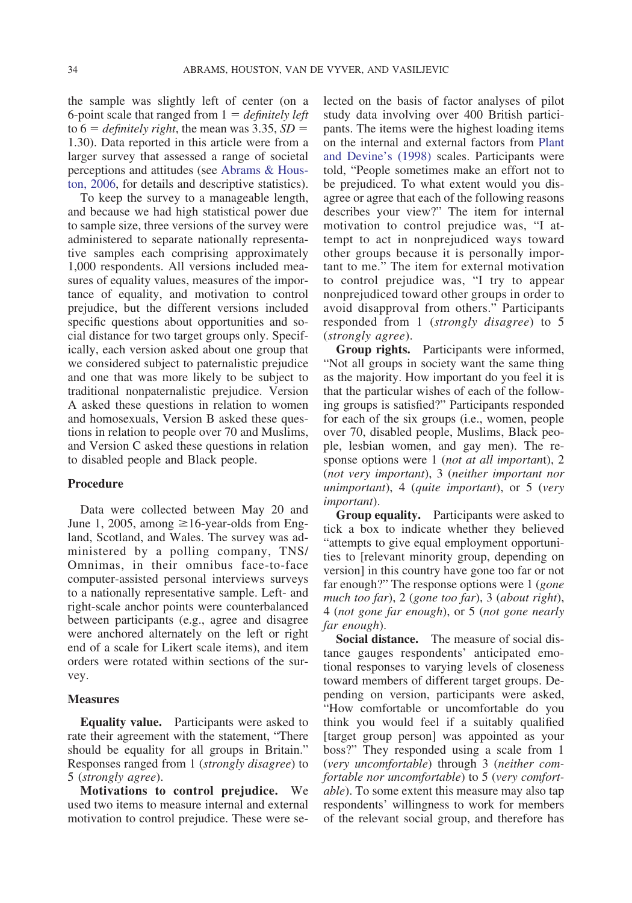the sample was slightly left of center (on a 6-point scale that ranged from  $1 = \text{definitely left}$ to  $6 =$  *definitely right*, the mean was 3.35,  $SD =$ 1.30). Data reported in this article were from a larger survey that assessed a range of societal perceptions and attitudes (see [Abrams & Hous](#page-16-7)[ton, 2006,](#page-16-7) for details and descriptive statistics).

To keep the survey to a manageable length, and because we had high statistical power due to sample size, three versions of the survey were administered to separate nationally representative samples each comprising approximately 1,000 respondents. All versions included measures of equality values, measures of the importance of equality, and motivation to control prejudice, but the different versions included specific questions about opportunities and social distance for two target groups only. Specifically, each version asked about one group that we considered subject to paternalistic prejudice and one that was more likely to be subject to traditional nonpaternalistic prejudice. Version A asked these questions in relation to women and homosexuals, Version B asked these questions in relation to people over 70 and Muslims, and Version C asked these questions in relation to disabled people and Black people.

#### **Procedure**

<span id="page-7-0"></span>Data were collected between May 20 and June 1, 2005, among  $\geq$  16-year-olds from England, Scotland, and Wales. The survey was administered by a polling company, TNS/ Omnimas, in their omnibus face-to-face computer-assisted personal interviews surveys to a nationally representative sample. Left- and right-scale anchor points were counterbalanced between participants (e.g., agree and disagree were anchored alternately on the left or right end of a scale for Likert scale items), and item orders were rotated within sections of the survey.

#### **Measures**

**Equality value.** Participants were asked to rate their agreement with the statement, "There should be equality for all groups in Britain." Responses ranged from 1 (*strongly disagree*) to 5 (*strongly agree*).

**Motivations to control prejudice.** We used two items to measure internal and external motivation to control prejudice. These were selected on the basis of factor analyses of pilot study data involving over 400 British participants. The items were the highest loading items on the internal and external factors from [Plant](#page-18-14) [and Devine's \(1998\)](#page-18-14) scales. Participants were told, "People sometimes make an effort not to be prejudiced. To what extent would you disagree or agree that each of the following reasons describes your view?" The item for internal motivation to control prejudice was, "I attempt to act in nonprejudiced ways toward other groups because it is personally important to me." The item for external motivation to control prejudice was, "I try to appear nonprejudiced toward other groups in order to avoid disapproval from others." Participants responded from 1 (*strongly disagree*) to 5 (*strongly agree*).

**Group rights.** Participants were informed, "Not all groups in society want the same thing as the majority. How important do you feel it is that the particular wishes of each of the following groups is satisfied?" Participants responded for each of the six groups (i.e., women, people over 70, disabled people, Muslims, Black people, lesbian women, and gay men). The response options were 1 (*not at all importan*t), 2 (*not very important*), 3 (*neither important nor unimportant*), 4 (*quite important*), or 5 (*very important*).

**Group equality.** Participants were asked to tick a box to indicate whether they believed "attempts to give equal employment opportunities to [relevant minority group, depending on version] in this country have gone too far or not far enough?" The response options were 1 (*gone much too far*), 2 (*gone too far*), 3 (*about right*), 4 (*not gone far enough*), or 5 (*not gone nearly far enough*).

**Social distance.** The measure of social distance gauges respondents' anticipated emotional responses to varying levels of closeness toward members of different target groups. Depending on version, participants were asked, "How comfortable or uncomfortable do you think you would feel if a suitably qualified [target group person] was appointed as your boss?" They responded using a scale from 1 (*very uncomfortable*) through 3 (*neither comfortable nor uncomfortable*) to 5 (*very comfortable*). To some extent this measure may also tap respondents' willingness to work for members of the relevant social group, and therefore has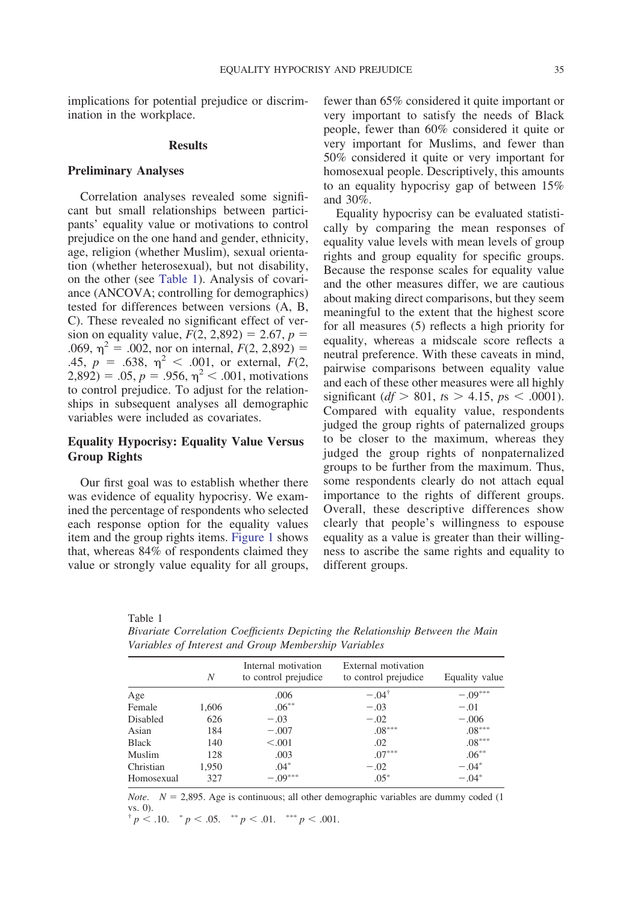implications for potential prejudice or discrimination in the workplace.

#### **Results**

#### **Preliminary Analyses**

Correlation analyses revealed some significant but small relationships between participants' equality value or motivations to control prejudice on the one hand and gender, ethnicity, age, religion (whether Muslim), sexual orientation (whether heterosexual), but not disability, on the other (see [Table 1\)](#page-7-0). Analysis of covariance (ANCOVA; controlling for demographics) tested for differences between versions (A, B, C). These revealed no significant effect of version on equality value,  $F(2, 2,892) = 2.67$ ,  $p =$ .069,  $\eta^2 = .002$ , nor on internal,  $F(2, 2,892) =$ .45,  $p = .638$ ,  $\eta^2 < .001$ , or external,  $F(2,$  $(2,892) = .05, p = .956, \eta^2 < .001$ , motivations to control prejudice. To adjust for the relationships in subsequent analyses all demographic variables were included as covariates.

#### **Equality Hypocrisy: Equality Value Versus Group Rights**

<span id="page-8-0"></span>Our first goal was to establish whether there was evidence of equality hypocrisy. We examined the percentage of respondents who selected each response option for the equality values item and the group rights items. [Figure 1](#page-8-0) shows that, whereas 84% of respondents claimed they value or strongly value equality for all groups,

Table 1

fewer than 65% considered it quite important or very important to satisfy the needs of Black people, fewer than 60% considered it quite or very important for Muslims, and fewer than 50% considered it quite or very important for homosexual people. Descriptively, this amounts to an equality hypocrisy gap of between 15% and 30%.

Equality hypocrisy can be evaluated statistically by comparing the mean responses of equality value levels with mean levels of group rights and group equality for specific groups. Because the response scales for equality value and the other measures differ, we are cautious about making direct comparisons, but they seem meaningful to the extent that the highest score for all measures (5) reflects a high priority for equality, whereas a midscale score reflects a neutral preference. With these caveats in mind, pairwise comparisons between equality value and each of these other measures were all highly significant (*df*  $> 801$ , *ts*  $> 4.15$ , *ps*  $< .0001$ ). Compared with equality value, respondents judged the group rights of paternalized groups to be closer to the maximum, whereas they judged the group rights of nonpaternalized groups to be further from the maximum. Thus, some respondents clearly do not attach equal importance to the rights of different groups. Overall, these descriptive differences show clearly that people's willingness to espouse equality as a value is greater than their willingness to ascribe the same rights and equality to different groups.

|                 | N     | Internal motivation<br>to control prejudice | External motivation<br>to control prejudice | Equality value |  |
|-----------------|-------|---------------------------------------------|---------------------------------------------|----------------|--|
| Age             |       | .006                                        | $-.04^{\dagger}$                            | $-.09***$      |  |
| Female          | 1.606 | $.06***$                                    | $-.03$                                      | $-.01$         |  |
| <b>Disabled</b> | 626   | $-.03$                                      | $-.02$                                      | $-.006$        |  |
| Asian           | 184   | $-.007$                                     | $.08***$                                    | $.08***$       |  |
| <b>Black</b>    | 140   | < 0.001                                     | .02                                         | $.08***$       |  |
| Muslim          | 128   | .003                                        | $.07***$                                    | $.06***$       |  |
| Christian       | 1.950 | $.04*$                                      | $-.02$                                      | $-.04*$        |  |
| Homosexual      | 327   | $-.09***$                                   | $.05*$                                      | $-.04*$        |  |
|                 |       |                                             |                                             |                |  |

*Bivariate Correlation Coefficients Depicting the Relationship Between the Main Variables of Interest and Group Membership Variables*

*Note.*  $N = 2,895$ . Age is continuous; all other demographic variables are dummy coded (1) vs. 0). † ---

$$
p < 0.10.
$$
  $p < 0.05.$   $p < 0.01.$   $p < 0.001.$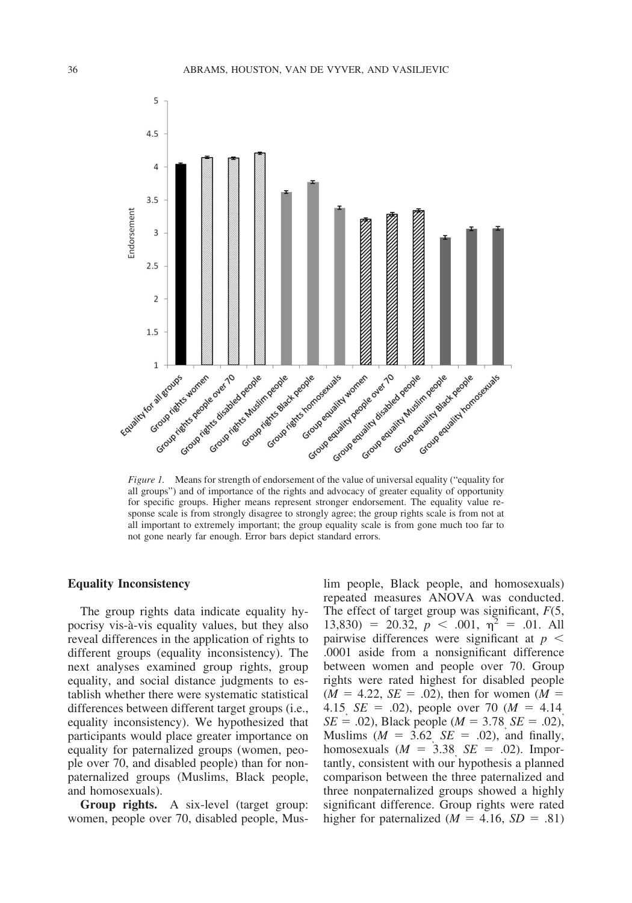

*Figure 1.* Means for strength of endorsement of the value of universal equality ("equality for all groups") and of importance of the rights and advocacy of greater equality of opportunity for specific groups. Higher means represent stronger endorsement. The equality value response scale is from strongly disagree to strongly agree; the group rights scale is from not at all important to extremely important; the group equality scale is from gone much too far to not gone nearly far enough. Error bars depict standard errors.

#### **Equality Inconsistency**

<span id="page-9-0"></span>The group rights data indicate equality hypocrisy vis-a`-vis equality values, but they also reveal differences in the application of rights to different groups (equality inconsistency). The next analyses examined group rights, group equality, and social distance judgments to establish whether there were systematic statistical differences between different target groups (i.e., equality inconsistency). We hypothesized that participants would place greater importance on equality for paternalized groups (women, people over 70, and disabled people) than for nonpaternalized groups (Muslims, Black people, and homosexuals).

**Group rights.** A six-level (target group: women, people over 70, disabled people, Mus-

lim people, Black people, and homosexuals) repeated measures ANOVA was conducted. The effect of target group was significant, *F*(5, 13,830) = 20.32,  $p < .001$ ,  $p^2 = .01$ . All pairwise differences were significant at *p* .0001 aside from a nonsignificant difference between women and people over 70. Group rights were rated highest for disabled people  $(M = 4.22, SE = .02)$ , then for women  $(M =$  $4.15, \, SE = .02$ ), people over 70 ( $M = 4.14$ )  $SE = .02$ ), Black people ( $M = 3.78$ ,  $SE = .02$ ), Muslims  $(M = 3.62, SE = .02)$ , and finally, homosexuals  $(M = 3.38, SE = .02)$ . Importantly, consistent with our hypothesis a planned comparison between the three paternalized and three nonpaternalized groups showed a highly significant difference. Group rights were rated higher for paternalized  $(M = 4.16, SD = .81)$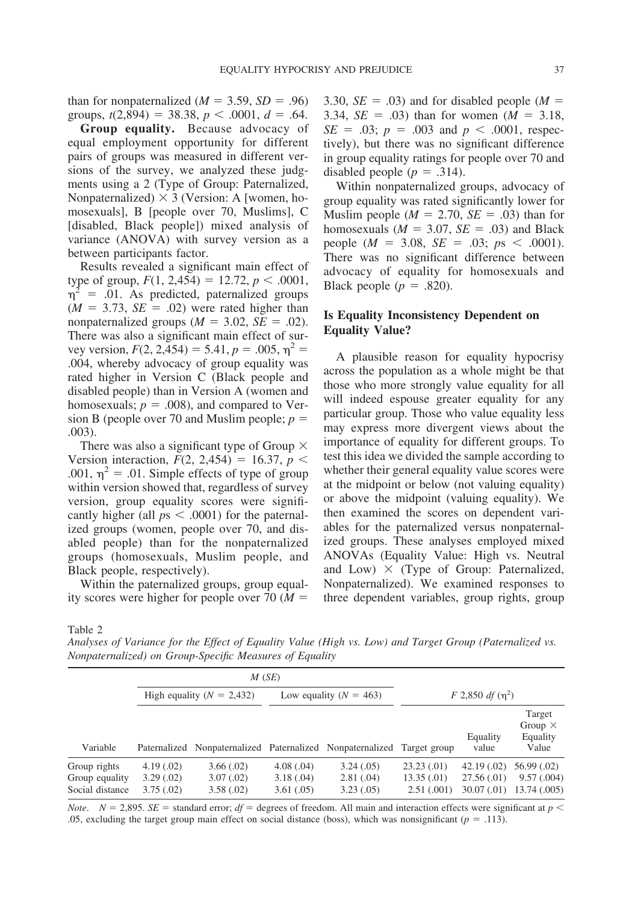than for nonpaternalized  $(M = 3.59, SD = .96)$ groups,  $t(2,894) = 38.38, p < .0001, d = .64$ .

**Group equality.** Because advocacy of equal employment opportunity for different pairs of groups was measured in different versions of the survey, we analyzed these judgments using a 2 (Type of Group: Paternalized, Nonpaternalized)  $\times$  3 (Version: A [women, homosexuals], B [people over 70, Muslims], C [disabled, Black people]) mixed analysis of variance (ANOVA) with survey version as a between participants factor.

Results revealed a significant main effect of type of group,  $F(1, 2,454) = 12.72, p < .0001$ ,  $\eta^2$  = .01. As predicted, paternalized groups  $(M = 3.73, SE = .02)$  were rated higher than nonpaternalized groups  $(M = 3.02, SE = .02)$ . There was also a significant main effect of survey version,  $F(2, 2,454) = 5.41$ ,  $p = .005$ ,  $\eta^2 =$ .004, whereby advocacy of group equality was rated higher in Version C (Black people and disabled people) than in Version A (women and homosexuals;  $p = .008$ ), and compared to Version B (people over 70 and Muslim people;  $p =$ .003).

There was also a significant type of Group  $\times$ Version interaction,  $F(2, 2,454) = 16.37, p <$ .001,  $\eta^2 = 0.01$ . Simple effects of type of group within version showed that, regardless of survey version, group equality scores were significantly higher (all  $ps < .0001$ ) for the paternalized groups (women, people over 70, and disabled people) than for the nonpaternalized groups (homosexuals, Muslim people, and Black people, respectively).

Within the paternalized groups, group equality scores were higher for people over 70 ( $M =$ 

3.30,  $SE = .03$ ) and for disabled people ( $M =$ 3.34,  $SE = .03$ ) than for women ( $M = 3.18$ ,  $SE = .03$ ;  $p = .003$  and  $p < .0001$ , respectively), but there was no significant difference in group equality ratings for people over 70 and disabled people  $(p = .314)$ .

Within nonpaternalized groups, advocacy of group equality was rated significantly lower for Muslim people  $(M = 2.70, SE = .03)$  than for homosexuals  $(M = 3.07, SE = .03)$  and Black people  $(M = 3.08, SE = .03; ps < .0001)$ . There was no significant difference between advocacy of equality for homosexuals and Black people  $(p = .820)$ .

#### **Is Equality Inconsistency Dependent on Equality Value?**

A plausible reason for equality hypocrisy across the population as a whole might be that those who more strongly value equality for all will indeed espouse greater equality for any particular group. Those who value equality less may express more divergent views about the importance of equality for different groups. To test this idea we divided the sample according to whether their general equality value scores were at the midpoint or below (not valuing equality) or above the midpoint (valuing equality). We then examined the scores on dependent variables for the paternalized versus nonpaternalized groups. These analyses employed mixed ANOVAs (Equality Value: High vs. Neutral and Low)  $\times$  (Type of Group: Paternalized, Nonpaternalized). We examined responses to three dependent variables, group rights, group

Table 2

*Analyses of Variance for the Effect of Equality Value (High vs. Low) and Target Group (Paternalized vs. Nonpaternalized) on Group-Specific Measures of Equality*

|                 |                             | M(SE)     |                            |                                                                        |                    |                   |                                               |
|-----------------|-----------------------------|-----------|----------------------------|------------------------------------------------------------------------|--------------------|-------------------|-----------------------------------------------|
|                 | High equality $(N = 2,432)$ |           | Low equality ( $N = 463$ ) |                                                                        | F 2,850 df $(n^2)$ |                   |                                               |
| Variable        |                             |           |                            | Paternalized Nonpaternalized Paternalized Nonpaternalized Target group |                    | Equality<br>value | Target<br>Group $\times$<br>Equality<br>Value |
| Group rights    | 4.19(0.02)                  | 3.66(.02) | 4.08(.04)                  | 3.24(.05)                                                              | 23.23(01)          |                   | $42.19(.02)$ 56.99 (.02)                      |
| Group equality  | 3.29(.02)                   | 3.07(.02) | 3.18(.04)                  | 2.81(.04)                                                              | 13.35(.01)         | 27.56(.01)        | 9.57(.004)                                    |
| Social distance | 3.75(.02)                   | 3.58(.02) | 3.61(.05)                  | 3.23(.05)                                                              | 2.51(.001)         | 30.07(0.01)       | 13.74(0.005)                                  |

*Note*.  $N = 2,895$ .  $SE =$  standard error;  $df =$  degrees of freedom. All main and interaction effects were significant at  $p <$ .05, excluding the target group main effect on social distance (boss), which was nonsignificant ( $p = .113$ ).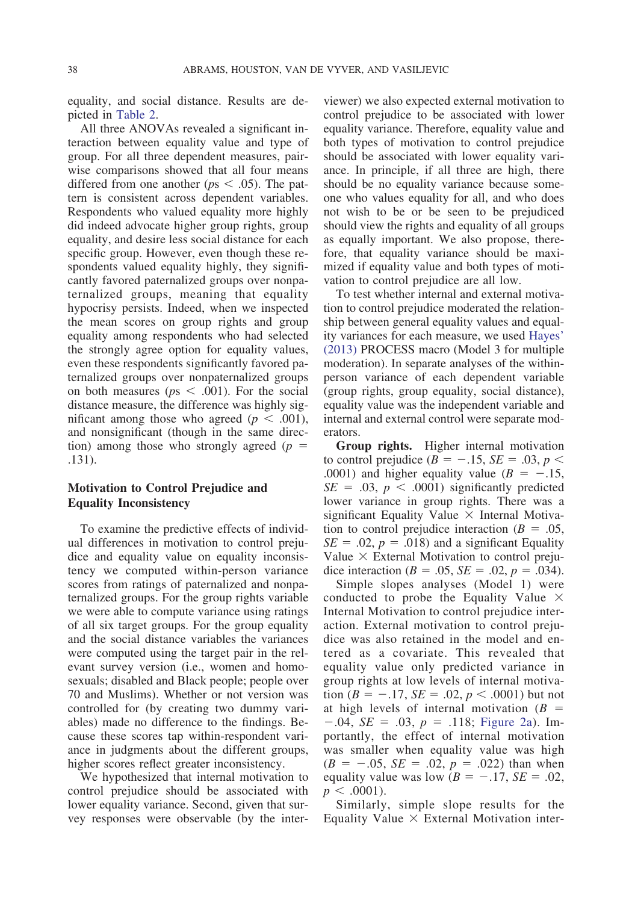equality, and social distance. Results are depicted in [Table 2.](#page-9-0)

<span id="page-11-0"></span>All three ANOVAs revealed a significant interaction between equality value and type of group. For all three dependent measures, pairwise comparisons showed that all four means differed from one another ( $ps < .05$ ). The pattern is consistent across dependent variables. Respondents who valued equality more highly did indeed advocate higher group rights, group equality, and desire less social distance for each specific group. However, even though these respondents valued equality highly, they significantly favored paternalized groups over nonpaternalized groups, meaning that equality hypocrisy persists. Indeed, when we inspected the mean scores on group rights and group equality among respondents who had selected the strongly agree option for equality values, even these respondents significantly favored paternalized groups over nonpaternalized groups on both measures ( $ps < .001$ ). For the social distance measure, the difference was highly significant among those who agreed  $(p < .001)$ , and nonsignificant (though in the same direction) among those who strongly agreed  $(p =$ .131).

#### **Motivation to Control Prejudice and Equality Inconsistency**

To examine the predictive effects of individual differences in motivation to control prejudice and equality value on equality inconsistency we computed within-person variance scores from ratings of paternalized and nonpaternalized groups. For the group rights variable we were able to compute variance using ratings of all six target groups. For the group equality and the social distance variables the variances were computed using the target pair in the relevant survey version (i.e., women and homosexuals; disabled and Black people; people over 70 and Muslims). Whether or not version was controlled for (by creating two dummy variables) made no difference to the findings. Because these scores tap within-respondent variance in judgments about the different groups, higher scores reflect greater inconsistency.

We hypothesized that internal motivation to control prejudice should be associated with lower equality variance. Second, given that survey responses were observable (by the interviewer) we also expected external motivation to control prejudice to be associated with lower equality variance. Therefore, equality value and both types of motivation to control prejudice should be associated with lower equality variance. In principle, if all three are high, there should be no equality variance because someone who values equality for all, and who does not wish to be or be seen to be prejudiced should view the rights and equality of all groups as equally important. We also propose, therefore, that equality variance should be maximized if equality value and both types of motivation to control prejudice are all low.

To test whether internal and external motivation to control prejudice moderated the relationship between general equality values and equality variances for each measure, we used [Hayes'](#page-17-18) [\(2013\)](#page-17-18) PROCESS macro (Model 3 for multiple moderation). In separate analyses of the withinperson variance of each dependent variable (group rights, group equality, social distance), equality value was the independent variable and internal and external control were separate moderators.

**Group rights.** Higher internal motivation to control prejudice ( $B = -.15$ ,  $SE = .03$ ,  $p <$ .0001) and higher equality value  $(B = -.15,$  $SE = .03$ ,  $p < .0001$ ) significantly predicted lower variance in group rights. There was a significant Equality Value  $\times$  Internal Motivation to control prejudice interaction ( $B = .05$ ,  $SE = .02$ ,  $p = .018$ ) and a significant Equality Value  $\times$  External Motivation to control prejudice interaction ( $B = .05$ ,  $SE = .02$ ,  $p = .034$ ).

Simple slopes analyses (Model 1) were conducted to probe the Equality Value  $\times$ Internal Motivation to control prejudice interaction. External motivation to control prejudice was also retained in the model and entered as a covariate. This revealed that equality value only predicted variance in group rights at low levels of internal motivation ( $B = -.17$ ,  $SE = .02$ ,  $p < .0001$ ) but not at high levels of internal motivation  $(B =$  $-.04$ , *SE* = .03, *p* = .118; [Figure 2a\)](#page-11-0). Importantly, the effect of internal motivation was smaller when equality value was high  $(B = -.05, SE = .02, p = .022)$  than when equality value was low  $(B = -.17, SE = .02,$  $p < .0001$ ).

Similarly, simple slope results for the Equality Value  $\times$  External Motivation inter-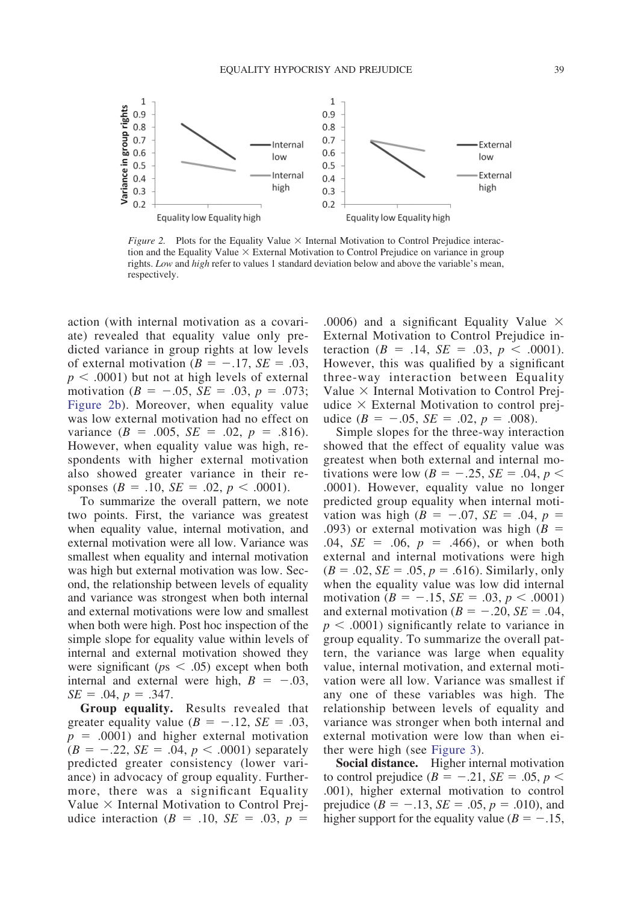

*Figure 2.* Plots for the Equality Value  $\times$  Internal Motivation to Control Prejudice interaction and the Equality Value  $\times$  External Motivation to Control Prejudice on variance in group rights. *Low* and *high* refer to values 1 standard deviation below and above the variable's mean, respectively.

<span id="page-12-0"></span>action (with internal motivation as a covariate) revealed that equality value only predicted variance in group rights at low levels of external motivation  $(B = -.17, SE = .03,$  $p < .0001$ ) but not at high levels of external motivation ( $B = -.05$ ,  $SE = .03$ ,  $p = .073$ ; [Figure 2b\)](#page-11-0). Moreover, when equality value was low external motivation had no effect on variance  $(B = .005, SE = .02, p = .816)$ . However, when equality value was high, respondents with higher external motivation also showed greater variance in their responses ( $B = .10$ ,  $SE = .02$ ,  $p < .0001$ ).

To summarize the overall pattern, we note two points. First, the variance was greatest when equality value, internal motivation, and external motivation were all low. Variance was smallest when equality and internal motivation was high but external motivation was low. Second, the relationship between levels of equality and variance was strongest when both internal and external motivations were low and smallest when both were high. Post hoc inspection of the simple slope for equality value within levels of internal and external motivation showed they were significant ( $ps < .05$ ) except when both internal and external were high,  $B = -.03$ ,  $SE = .04, p = .347.$ 

<span id="page-12-1"></span>**Group equality.** Results revealed that greater equality value  $(B = -.12, SE = .03,$  $p = .0001$ ) and higher external motivation  $(B = -.22, SE = .04, p < .0001)$  separately predicted greater consistency (lower variance) in advocacy of group equality. Furthermore, there was a significant Equality Value  $\times$  Internal Motivation to Control Prejudice interaction  $(B = .10, SE = .03, p =$ 

.0006) and a significant Equality Value  $\times$ External Motivation to Control Prejudice interaction  $(B = .14, SE = .03, p < .0001)$ . However, this was qualified by a significant three-way interaction between Equality Value  $\times$  Internal Motivation to Control Prejudice  $\times$  External Motivation to control prejudice  $(B = -.05, SE = .02, p = .008)$ .

Simple slopes for the three-way interaction showed that the effect of equality value was greatest when both external and internal motivations were low  $(B = -.25, SE = .04, p <$ .0001). However, equality value no longer predicted group equality when internal motivation was high ( $B = -.07$ ,  $SE = .04$ ,  $p =$ .093) or external motivation was high  $(B =$  $.04, \, SE = .06, \, p = .466$ , or when both external and internal motivations were high  $(B = .02, SE = .05, p = .616)$ . Similarly, only when the equality value was low did internal motivation ( $B = -.15$ ,  $SE = .03$ ,  $p < .0001$ ) and external motivation ( $B = -.20$ ,  $SE = .04$ ,  $p < .0001$ ) significantly relate to variance in group equality. To summarize the overall pattern, the variance was large when equality value, internal motivation, and external motivation were all low. Variance was smallest if any one of these variables was high. The relationship between levels of equality and variance was stronger when both internal and external motivation were low than when either were high (see [Figure 3\)](#page-12-0).

**Social distance.** Higher internal motivation to control prejudice  $(B = -.21, SE = .05, p <$ .001), higher external motivation to control prejudice ( $B = -.13$ ,  $SE = .05$ ,  $p = .010$ ), and higher support for the equality value ( $B = -.15$ ,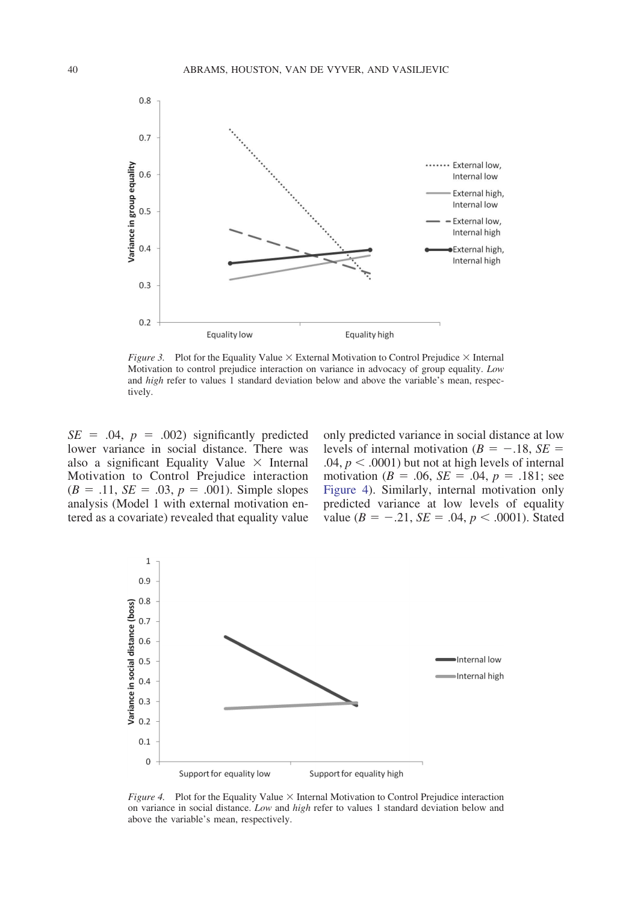

*Figure 3.* Plot for the Equality Value  $\times$  External Motivation to Control Prejudice  $\times$  Internal Motivation to control prejudice interaction on variance in advocacy of group equality. *Low* and *high* refer to values 1 standard deviation below and above the variable's mean, respectively.

 $SE = .04$ ,  $p = .002$ ) significantly predicted lower variance in social distance. There was also a significant Equality Value  $\times$  Internal Motivation to Control Prejudice interaction  $(B = .11, SE = .03, p = .001)$ . Simple slopes analysis (Model 1 with external motivation entered as a covariate) revealed that equality value

only predicted variance in social distance at low levels of internal motivation ( $B = -.18$ ,  $SE =$ .04,  $p < .0001$ ) but not at high levels of internal motivation (*B* = .06, *SE* = .04, *p* = .181; see [Figure 4\)](#page-12-1). Similarly, internal motivation only predicted variance at low levels of equality value ( $B = -.21$ ,  $SE = .04$ ,  $p < .0001$ ). Stated



*Figure 4.* Plot for the Equality Value  $\times$  Internal Motivation to Control Prejudice interaction on variance in social distance. *Low* and *high* refer to values 1 standard deviation below and above the variable's mean, respectively.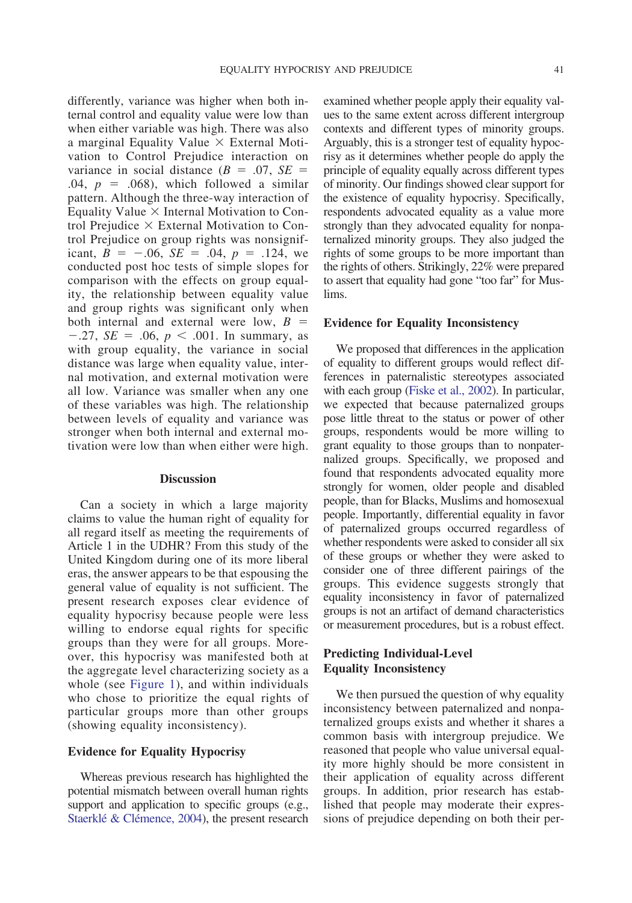differently, variance was higher when both internal control and equality value were low than when either variable was high. There was also a marginal Equality Value  $\times$  External Motivation to Control Prejudice interaction on variance in social distance  $(B = .07, SE =$  $.04, p = .068$ , which followed a similar pattern. Although the three-way interaction of Equality Value  $\times$  Internal Motivation to Control Prejudice  $\times$  External Motivation to Control Prejudice on group rights was nonsignificant,  $B = -.06$ ,  $SE = .04$ ,  $p = .124$ , we conducted post hoc tests of simple slopes for comparison with the effects on group equality, the relationship between equality value and group rights was significant only when both internal and external were low,  $B =$  $-.27, SE = .06, p < .001$ . In summary, as with group equality, the variance in social distance was large when equality value, internal motivation, and external motivation were all low. Variance was smaller when any one of these variables was high. The relationship between levels of equality and variance was stronger when both internal and external motivation were low than when either were high.

#### **Discussion**

Can a society in which a large majority claims to value the human right of equality for all regard itself as meeting the requirements of Article 1 in the UDHR? From this study of the United Kingdom during one of its more liberal eras, the answer appears to be that espousing the general value of equality is not sufficient. The present research exposes clear evidence of equality hypocrisy because people were less willing to endorse equal rights for specific groups than they were for all groups. Moreover, this hypocrisy was manifested both at the aggregate level characterizing society as a whole (see [Figure 1\)](#page-8-0), and within individuals who chose to prioritize the equal rights of particular groups more than other groups (showing equality inconsistency).

#### **Evidence for Equality Hypocrisy**

Whereas previous research has highlighted the potential mismatch between overall human rights support and application to specific groups (e.g., [Staerklé & Clémence, 2004\)](#page-18-8), the present research examined whether people apply their equality values to the same extent across different intergroup contexts and different types of minority groups. Arguably, this is a stronger test of equality hypocrisy as it determines whether people do apply the principle of equality equally across different types of minority. Our findings showed clear support for the existence of equality hypocrisy. Specifically, respondents advocated equality as a value more strongly than they advocated equality for nonpaternalized minority groups. They also judged the rights of some groups to be more important than the rights of others. Strikingly, 22% were prepared to assert that equality had gone "too far" for Muslims.

#### **Evidence for Equality Inconsistency**

We proposed that differences in the application of equality to different groups would reflect differences in paternalistic stereotypes associated with each group [\(Fiske et al., 2002\)](#page-17-12). In particular, we expected that because paternalized groups pose little threat to the status or power of other groups, respondents would be more willing to grant equality to those groups than to nonpaternalized groups. Specifically, we proposed and found that respondents advocated equality more strongly for women, older people and disabled people, than for Blacks, Muslims and homosexual people. Importantly, differential equality in favor of paternalized groups occurred regardless of whether respondents were asked to consider all six of these groups or whether they were asked to consider one of three different pairings of the groups. This evidence suggests strongly that equality inconsistency in favor of paternalized groups is not an artifact of demand characteristics or measurement procedures, but is a robust effect.

#### **Predicting Individual-Level Equality Inconsistency**

We then pursued the question of why equality inconsistency between paternalized and nonpaternalized groups exists and whether it shares a common basis with intergroup prejudice. We reasoned that people who value universal equality more highly should be more consistent in their application of equality across different groups. In addition, prior research has established that people may moderate their expressions of prejudice depending on both their per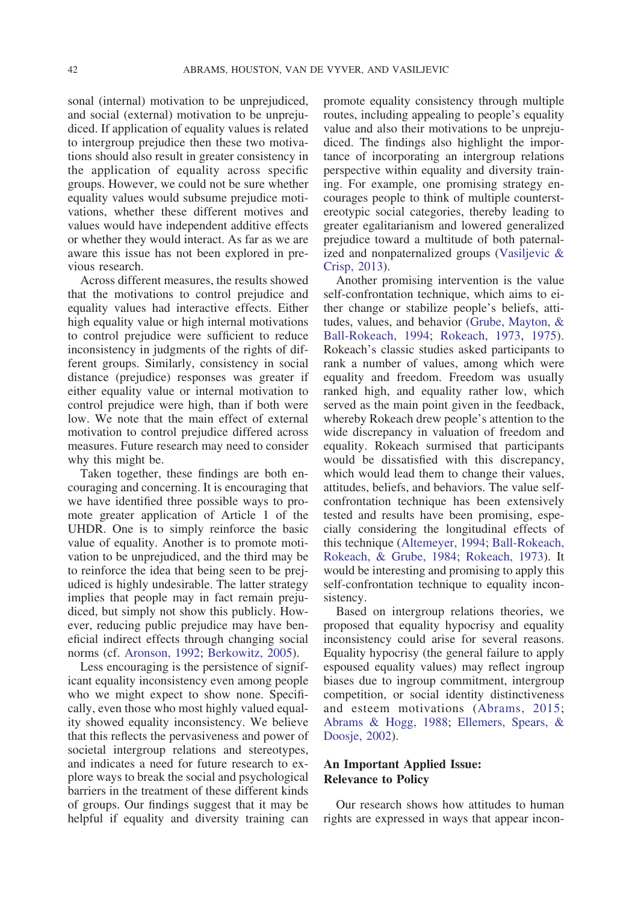sonal (internal) motivation to be unprejudiced, and social (external) motivation to be unprejudiced. If application of equality values is related to intergroup prejudice then these two motivations should also result in greater consistency in the application of equality across specific groups. However, we could not be sure whether equality values would subsume prejudice motivations, whether these different motives and values would have independent additive effects or whether they would interact. As far as we are aware this issue has not been explored in previous research.

Across different measures, the results showed that the motivations to control prejudice and equality values had interactive effects. Either high equality value or high internal motivations to control prejudice were sufficient to reduce inconsistency in judgments of the rights of different groups. Similarly, consistency in social distance (prejudice) responses was greater if either equality value or internal motivation to control prejudice were high, than if both were low. We note that the main effect of external motivation to control prejudice differed across measures. Future research may need to consider why this might be.

Taken together, these findings are both encouraging and concerning. It is encouraging that we have identified three possible ways to promote greater application of Article 1 of the UHDR. One is to simply reinforce the basic value of equality. Another is to promote motivation to be unprejudiced, and the third may be to reinforce the idea that being seen to be prejudiced is highly undesirable. The latter strategy implies that people may in fact remain prejudiced, but simply not show this publicly. However, reducing public prejudice may have beneficial indirect effects through changing social norms (cf. [Aronson, 1992;](#page-16-8) [Berkowitz, 2005\)](#page-16-9).

Less encouraging is the persistence of significant equality inconsistency even among people who we might expect to show none. Specifically, even those who most highly valued equality showed equality inconsistency. We believe that this reflects the pervasiveness and power of societal intergroup relations and stereotypes, and indicates a need for future research to explore ways to break the social and psychological barriers in the treatment of these different kinds of groups. Our findings suggest that it may be helpful if equality and diversity training can

promote equality consistency through multiple routes, including appealing to people's equality value and also their motivations to be unprejudiced. The findings also highlight the importance of incorporating an intergroup relations perspective within equality and diversity training. For example, one promising strategy encourages people to think of multiple counterstereotypic social categories, thereby leading to greater egalitarianism and lowered generalized prejudice toward a multitude of both paternalized and nonpaternalized groups [\(Vasiljevic &](#page-18-15) [Crisp, 2013\)](#page-18-15).

Another promising intervention is the value self-confrontation technique, which aims to either change or stabilize people's beliefs, attitudes, values, and behavior [\(Grube, Mayton, &](#page-17-19) [Ball-Rokeach, 1994;](#page-17-19) [Rokeach, 1973,](#page-18-16) [1975\)](#page-18-17). Rokeach's classic studies asked participants to rank a number of values, among which were equality and freedom. Freedom was usually ranked high, and equality rather low, which served as the main point given in the feedback, whereby Rokeach drew people's attention to the wide discrepancy in valuation of freedom and equality. Rokeach surmised that participants would be dissatisfied with this discrepancy, which would lead them to change their values, attitudes, beliefs, and behaviors. The value selfconfrontation technique has been extensively tested and results have been promising, especially considering the longitudinal effects of this technique [\(Altemeyer, 1994;](#page-16-10) [Ball-Rokeach,](#page-16-11) [Rokeach, & Grube, 1984;](#page-16-11) [Rokeach, 1973\)](#page-18-16). It would be interesting and promising to apply this self-confrontation technique to equality inconsistency.

Based on intergroup relations theories, we proposed that equality hypocrisy and equality inconsistency could arise for several reasons. Equality hypocrisy (the general failure to apply espoused equality values) may reflect ingroup biases due to ingroup commitment, intergroup competition, or social identity distinctiveness and esteem motivations [\(Abrams, 2015;](#page-16-3) [Abrams & Hogg, 1988;](#page-16-12) [Ellemers, Spears, &](#page-17-20) [Doosje, 2002\)](#page-17-20).

#### **An Important Applied Issue: Relevance to Policy**

Our research shows how attitudes to human rights are expressed in ways that appear incon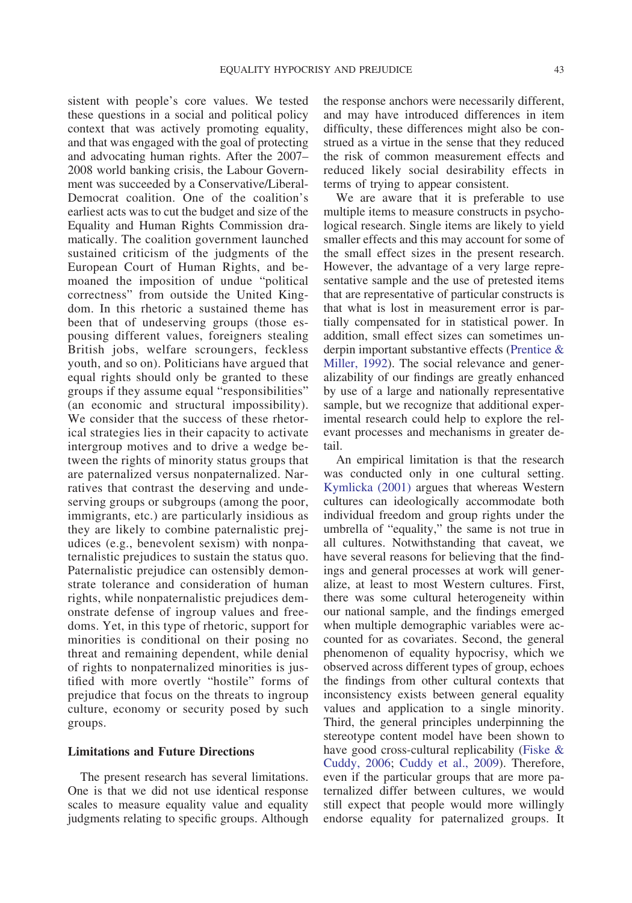sistent with people's core values. We tested these questions in a social and political policy context that was actively promoting equality, and that was engaged with the goal of protecting and advocating human rights. After the 2007– 2008 world banking crisis, the Labour Government was succeeded by a Conservative/Liberal-Democrat coalition. One of the coalition's earliest acts was to cut the budget and size of the Equality and Human Rights Commission dramatically. The coalition government launched sustained criticism of the judgments of the European Court of Human Rights, and bemoaned the imposition of undue "political correctness" from outside the United Kingdom. In this rhetoric a sustained theme has been that of undeserving groups (those espousing different values, foreigners stealing British jobs, welfare scroungers, feckless youth, and so on). Politicians have argued that equal rights should only be granted to these groups if they assume equal "responsibilities" (an economic and structural impossibility). We consider that the success of these rhetorical strategies lies in their capacity to activate intergroup motives and to drive a wedge between the rights of minority status groups that are paternalized versus nonpaternalized. Narratives that contrast the deserving and undeserving groups or subgroups (among the poor, immigrants, etc.) are particularly insidious as they are likely to combine paternalistic prejudices (e.g., benevolent sexism) with nonpaternalistic prejudices to sustain the status quo. Paternalistic prejudice can ostensibly demonstrate tolerance and consideration of human rights, while nonpaternalistic prejudices demonstrate defense of ingroup values and freedoms. Yet, in this type of rhetoric, support for minorities is conditional on their posing no threat and remaining dependent, while denial of rights to nonpaternalized minorities is justified with more overtly "hostile" forms of prejudice that focus on the threats to ingroup culture, economy or security posed by such groups.

#### <span id="page-16-12"></span><span id="page-16-7"></span><span id="page-16-3"></span><span id="page-16-0"></span>**Limitations and Future Directions**

The present research has several limitations. One is that we did not use identical response scales to measure equality value and equality judgments relating to specific groups. Although

<span id="page-16-14"></span>the response anchors were necessarily different, and may have introduced differences in item difficulty, these differences might also be construed as a virtue in the sense that they reduced the risk of common measurement effects and reduced likely social desirability effects in terms of trying to appear consistent.

<span id="page-16-13"></span><span id="page-16-10"></span><span id="page-16-5"></span>We are aware that it is preferable to use multiple items to measure constructs in psychological research. Single items are likely to yield smaller effects and this may account for some of the small effect sizes in the present research. However, the advantage of a very large representative sample and the use of pretested items that are representative of particular constructs is that what is lost in measurement error is partially compensated for in statistical power. In addition, small effect sizes can sometimes underpin important substantive effects [\(Prentice &](#page-18-18) [Miller, 1992\)](#page-18-18). The social relevance and generalizability of our findings are greatly enhanced by use of a large and nationally representative sample, but we recognize that additional experimental research could help to explore the relevant processes and mechanisms in greater detail.

<span id="page-16-11"></span><span id="page-16-9"></span><span id="page-16-8"></span><span id="page-16-6"></span><span id="page-16-4"></span><span id="page-16-2"></span><span id="page-16-1"></span>An empirical limitation is that the research was conducted only in one cultural setting. [Kymlicka \(2001\)](#page-17-5) argues that whereas Western cultures can ideologically accommodate both individual freedom and group rights under the umbrella of "equality," the same is not true in all cultures. Notwithstanding that caveat, we have several reasons for believing that the findings and general processes at work will generalize, at least to most Western cultures. First, there was some cultural heterogeneity within our national sample, and the findings emerged when multiple demographic variables were accounted for as covariates. Second, the general phenomenon of equality hypocrisy, which we observed across different types of group, echoes the findings from other cultural contexts that inconsistency exists between general equality values and application to a single minority. Third, the general principles underpinning the stereotype content model have been shown to have good cross-cultural replicability [\(Fiske &](#page-17-16) [Cuddy, 2006;](#page-17-16) [Cuddy et al., 2009\)](#page-17-17). Therefore, even if the particular groups that are more paternalized differ between cultures, we would still expect that people would more willingly endorse equality for paternalized groups. It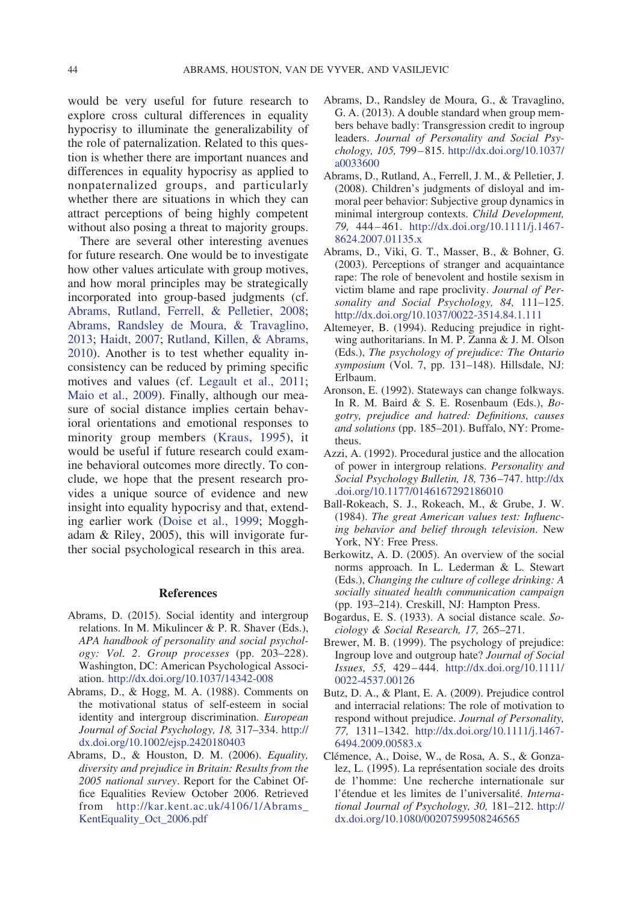<span id="page-17-3"></span>would be very useful for future research to explore cross cultural differences in equality hypocrisy to illuminate the generalizability of the role of paternalization. Related to this question is whether there are important nuances and differences in equality hypocrisy as applied to nonpaternalized groups, and particularly whether there are situations in which they can attract perceptions of being highly competent without also posing a threat to majority groups.

<span id="page-17-17"></span><span id="page-17-14"></span><span id="page-17-13"></span><span id="page-17-8"></span><span id="page-17-4"></span>There are several other interesting avenues for future research. One would be to investigate how other values articulate with group motives, and how moral principles may be strategically incorporated into group-based judgments (cf. [Abrams, Rutland, Ferrell, & Pelletier, 2008;](#page-16-13) [Abrams, Randsley de Moura, & Travaglino,](#page-16-14) [2013;](#page-16-14) [Haidt, 2007;](#page-17-21) [Rutland, Killen, & Abrams,](#page-18-19) [2010\)](#page-18-19). Another is to test whether equality inconsistency can be reduced by priming specific motives and values (cf. [Legault et al., 2011;](#page-17-11) [Maio et al., 2009\)](#page-18-9). Finally, although our measure of social distance implies certain behavioral orientations and emotional responses to minority group members [\(Kraus, 1995\)](#page-17-22), it would be useful if future research could examine behavioral outcomes more directly. To conclude, we hope that the present research provides a unique source of evidence and new insight into equality hypocrisy and that, extending earlier work [\(Doise et al., 1999;](#page-17-2) Mogghadam & Riley, 2005), this will invigorate further social psychological research in this area.

#### **References**

- <span id="page-17-9"></span><span id="page-17-2"></span><span id="page-17-1"></span>Abrams, D. (2015). Social identity and intergroup relations. In M. Mikulincer & P. R. Shaver (Eds.), *APA handbook of personality and social psychology: Vol. 2*. *Group processes* (pp. 203–228). Washington, DC: American Psychological Association. <http://dx.doi.org/10.1037/14342-008>
- <span id="page-17-20"></span><span id="page-17-6"></span>Abrams, D., & Hogg, M. A. (1988). Comments on the motivational status of self-esteem in social identity and intergroup discrimination. *European Journal of Social Psychology, 18,* 317–334. [http://](http://dx.doi.org/10.1002/ejsp.2420180403) [dx.doi.org/10.1002/ejsp.2420180403](http://dx.doi.org/10.1002/ejsp.2420180403)
- <span id="page-17-16"></span>Abrams, D., & Houston, D. M. (2006). *Equality, diversity and prejudice in Britain: Results from the 2005 national survey*. Report for the Cabinet Office Equalities Review October 2006. Retrieved from [http://kar.kent.ac.uk/4106/1/Abrams\\_](http://kar.kent.ac.uk/4106/1/Abrams_KentEquality_Oct_2006.pdf) [KentEquality\\_Oct\\_2006.pdf](http://kar.kent.ac.uk/4106/1/Abrams_KentEquality_Oct_2006.pdf)
- <span id="page-17-12"></span>Abrams, D., Randsley de Moura, G., & Travaglino, G. A. (2013). A double standard when group members behave badly: Transgression credit to ingroup leaders. *Journal of Personality and Social Psychology, 105,* 799–815. [http://dx.doi.org/10.1037/](http://dx.doi.org/10.1037/a0033600) [a0033600](http://dx.doi.org/10.1037/a0033600)
- <span id="page-17-15"></span>Abrams, D., Rutland, A., Ferrell, J. M., & Pelletier, J. (2008). Children's judgments of disloyal and immoral peer behavior: Subjective group dynamics in minimal intergroup contexts. *Child Development, 79,* 444–461. [http://dx.doi.org/10.1111/j.1467-](http://dx.doi.org/10.1111/j.1467-8624.2007.01135.x) [8624.2007.01135.x](http://dx.doi.org/10.1111/j.1467-8624.2007.01135.x)
- Abrams, D., Viki, G. T., Masser, B., & Bohner, G. (2003). Perceptions of stranger and acquaintance rape: The role of benevolent and hostile sexism in victim blame and rape proclivity. *Journal of Personality and Social Psychology, 84,* 111–125. <http://dx.doi.org/10.1037/0022-3514.84.1.111>
- <span id="page-17-10"></span>Altemeyer, B. (1994). Reducing prejudice in rightwing authoritarians. In M. P. Zanna & J. M. Olson (Eds.), *The psychology of prejudice: The Ontario symposium* (Vol. 7, pp. 131–148). Hillsdale, NJ: Erlbaum.
- <span id="page-17-19"></span>Aronson, E. (1992). Stateways can change folkways. In R. M. Baird & S. E. Rosenbaum (Eds.), *Bogotry, prejudice and hatred: Definitions, causes and solutions* (pp. 185–201). Buffalo, NY: Prometheus.
- <span id="page-17-21"></span>Azzi, A. (1992). Procedural justice and the allocation of power in intergroup relations. *Personality and Social Psychology Bulletin, 18,* 736–747. [http://dx](http://dx.doi.org/10.1177/0146167292186010) [.doi.org/10.1177/0146167292186010](http://dx.doi.org/10.1177/0146167292186010)
- <span id="page-17-18"></span>Ball-Rokeach, S. J., Rokeach, M., & Grube, J. W. (1984). *The great American values test: Influencing behavior and belief through television*. New York, NY: Free Press.
- <span id="page-17-7"></span>Berkowitz, A. D. (2005). An overview of the social norms approach. In L. Lederman & L. Stewart (Eds.), *Changing the culture of college drinking: A socially situated health communication campaign* (pp. 193–214). Creskill, NJ: Hampton Press.
- <span id="page-17-0"></span>Bogardus, E. S. (1933). A social distance scale. *Sociology & Social Research, 17,* 265–271.
- <span id="page-17-22"></span>Brewer, M. B. (1999). The psychology of prejudice: Ingroup love and outgroup hate? *Journal of Social Issues, 55,* 429–444. [http://dx.doi.org/10.1111/](http://dx.doi.org/10.1111/0022-4537.00126) [0022-4537.00126](http://dx.doi.org/10.1111/0022-4537.00126)
- <span id="page-17-5"></span>Butz, D. A., & Plant, E. A. (2009). Prejudice control and interracial relations: The role of motivation to respond without prejudice. *Journal of Personality, 77,* 1311–1342. [http://dx.doi.org/10.1111/j.1467-](http://dx.doi.org/10.1111/j.1467-6494.2009.00583.x) [6494.2009.00583.x](http://dx.doi.org/10.1111/j.1467-6494.2009.00583.x)
- <span id="page-17-11"></span>Clémence, A., Doise, W., de Rosa, A. S., & Gonzalez, L. (1995). La représentation sociale des droits de l'homme: Une recherche internationale sur l'étendue et les limites de l'universalité. *International Journal of Psychology, 30,* 181–212. [http://](http://dx.doi.org/10.1080/00207599508246565) [dx.doi.org/10.1080/00207599508246565](http://dx.doi.org/10.1080/00207599508246565)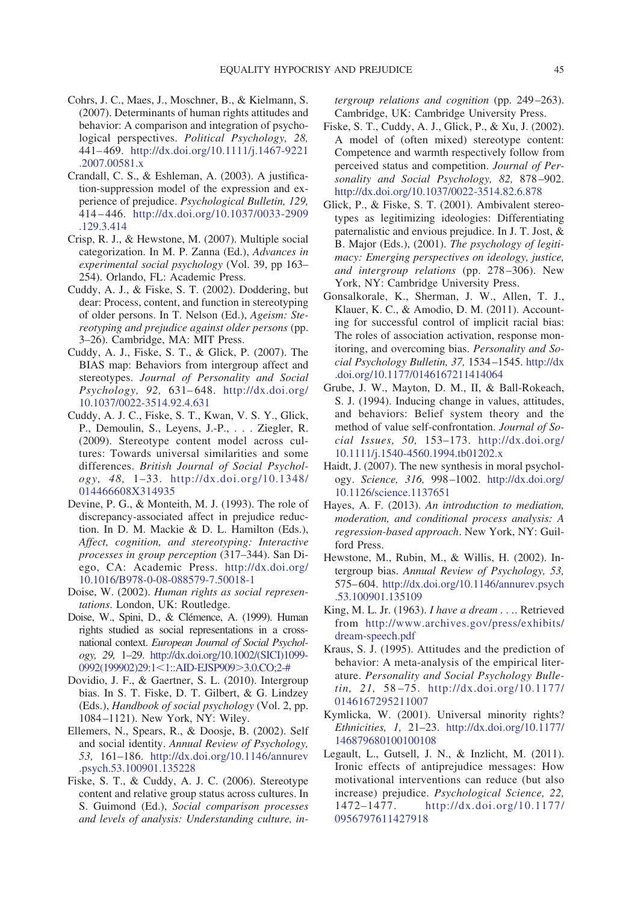- <span id="page-18-6"></span>Cohrs, J. C., Maes, J., Moschner, B., & Kielmann, S. (2007). Determinants of human rights attitudes and behavior: A comparison and integration of psychological perspectives. *Political Psychology, 28,* 441–469. [http://dx.doi.org/10.1111/j.1467-9221](http://dx.doi.org/10.1111/j.1467-9221.2007.00581.x) [.2007.00581.x](http://dx.doi.org/10.1111/j.1467-9221.2007.00581.x)
- <span id="page-18-9"></span>Crandall, C. S., & Eshleman, A. (2003). A justification-suppression model of the expression and experience of prejudice. *Psychological Bulletin, 129,* 414–446. [http://dx.doi.org/10.1037/0033-2909](http://dx.doi.org/10.1037/0033-2909.129.3.414) [.129.3.414](http://dx.doi.org/10.1037/0033-2909.129.3.414)
- <span id="page-18-2"></span>Crisp, R. J., & Hewstone, M. (2007). Multiple social categorization. In M. P. Zanna (Ed.), *Advances in experimental social psychology* (Vol. 39, pp 163– 254). Orlando, FL: Academic Press.
- <span id="page-18-5"></span>Cuddy, A. J., & Fiske, S. T. (2002). Doddering, but dear: Process, content, and function in stereotyping of older persons. In T. Nelson (Ed.), *Ageism: Stereotyping and prejudice against older persons* (pp. 3–26). Cambridge, MA: MIT Press.
- Cuddy, A. J., Fiske, S. T., & Glick, P. (2007). The BIAS map: Behaviors from intergroup affect and stereotypes. *Journal of Personality and Social Psychology, 92,* 631–648. [http://dx.doi.org/](http://dx.doi.org/10.1037/0022-3514.92.4.631) [10.1037/0022-3514.92.4.631](http://dx.doi.org/10.1037/0022-3514.92.4.631)
- <span id="page-18-14"></span><span id="page-18-1"></span>Cuddy, A. J. C., Fiske, S. T., Kwan, V. S. Y., Glick, P., Demoulin, S., Leyens, J.-P.,... Ziegler, R. (2009). Stereotype content model across cultures: Towards universal similarities and some differences. *British Journal of Social Psychology, 48,* 1–33. [http://dx.doi.org/10.1348/](http://dx.doi.org/10.1348/014466608X314935) [014466608X314935](http://dx.doi.org/10.1348/014466608X314935)
- <span id="page-18-12"></span>Devine, P. G., & Monteith, M. J. (1993). The role of discrepancy-associated affect in prejudice reduction. In D. M. Mackie & D. L. Hamilton (Eds.), *Affect, cognition, and stereotyping: Interactive processes in group perception* (317–344). San Diego, CA: Academic Press. [http://dx.doi.org/](http://dx.doi.org/10.1016/B978-0-08-088579-7.50018-1) [10.1016/B978-0-08-088579-7.50018-1](http://dx.doi.org/10.1016/B978-0-08-088579-7.50018-1)
- <span id="page-18-4"></span>Doise, W. (2002). *Human rights as social representations*. London, UK: Routledge.
- Doise, W., Spini, D., & Clémence, A. (1999). Human rights studied as social representations in a crossnational context. *European Journal of Social Psychology, 29,* 1–29. [http://dx.doi.org/10.1002/\(SICI\)1099-](http://dx.doi.org/10.1002/%28SICI%291099-0992%28199902%2929:1%3C1::AID-EJSP909%3E3.0.CO;2-#) [0992\(199902\)29:1](http://dx.doi.org/10.1002/%28SICI%291099-0992%28199902%2929:1%3C1::AID-EJSP909%3E3.0.CO;2-#)<1::AID-EJSP909>3.0.CO;2#
- <span id="page-18-18"></span>Dovidio, J. F., & Gaertner, S. L. (2010). Intergroup bias. In S. T. Fiske, D. T. Gilbert, & G. Lindzey (Eds.), *Handbook of social psychology* (Vol. 2, pp. 1084–1121). New York, NY: Wiley.
- <span id="page-18-16"></span>Ellemers, N., Spears, R., & Doosje, B. (2002). Self and social identity. *Annual Review of Psychology, 53,* 161–186. [http://dx.doi.org/10.1146/annurev](http://dx.doi.org/10.1146/annurev.psych.53.100901.135228) [.psych.53.100901.135228](http://dx.doi.org/10.1146/annurev.psych.53.100901.135228)
- Fiske, S. T., & Cuddy, A. J. C. (2006). Stereotype content and relative group status across cultures. In S. Guimond (Ed.), *Social comparison processes and levels of analysis: Understanding culture, in-*

<span id="page-18-17"></span>*tergroup relations and cognition* (pp. 249–263). Cambridge, UK: Cambridge University Press.

- <span id="page-18-19"></span>Fiske, S. T., Cuddy, A. J., Glick, P., & Xu, J. (2002). A model of (often mixed) stereotype content: Competence and warmth respectively follow from perceived status and competition. *Journal of Personality and Social Psychology, 82,* 878–902. <http://dx.doi.org/10.1037/0022-3514.82.6.878>
- <span id="page-18-10"></span>Glick, P., & Fiske, S. T. (2001). Ambivalent stereotypes as legitimizing ideologies: Differentiating paternalistic and envious prejudice. In J. T. Jost, & B. Major (Eds.), (2001). *The psychology of legitimacy: Emerging perspectives on ideology, justice, and intergroup relations* (pp. 278–306). New York, NY: Cambridge University Press.
- <span id="page-18-8"></span><span id="page-18-0"></span>Gonsalkorale, K., Sherman, J. W., Allen, T. J., Klauer, K. C., & Amodio, D. M. (2011). Accounting for successful control of implicit racial bias: The roles of association activation, response monitoring, and overcoming bias. *Personality and Social Psychology Bulletin, 37,* 1534–1545. [http://dx](http://dx.doi.org/10.1177/0146167211414064) [.doi.org/10.1177/0146167211414064](http://dx.doi.org/10.1177/0146167211414064)
- <span id="page-18-3"></span>Grube, J. W., Mayton, D. M., II, & Ball-Rokeach, S. J. (1994). Inducing change in values, attitudes, and behaviors: Belief system theory and the method of value self-confrontation. *Journal of Social Issues, 50,* 153–173. [http://dx.doi.org/](http://dx.doi.org/10.1111/j.1540-4560.1994.tb01202.x) [10.1111/j.1540-4560.1994.tb01202.x](http://dx.doi.org/10.1111/j.1540-4560.1994.tb01202.x)
- <span id="page-18-11"></span>Haidt, J. (2007). The new synthesis in moral psychology. *Science, 316,* 998–1002. [http://dx.doi.org/](http://dx.doi.org/10.1126/science.1137651) [10.1126/science.1137651](http://dx.doi.org/10.1126/science.1137651)
- <span id="page-18-13"></span>Hayes, A. F. (2013). *An introduction to mediation, moderation, and conditional process analysis: A regression-based approach*. New York, NY: Guilford Press.
- <span id="page-18-15"></span>Hewstone, M., Rubin, M., & Willis, H. (2002). Intergroup bias. *Annual Review of Psychology, 53,* 575–604. [http://dx.doi.org/10.1146/annurev.psych](http://dx.doi.org/10.1146/annurev.psych.53.100901.135109) [.53.100901.135109](http://dx.doi.org/10.1146/annurev.psych.53.100901.135109)
- King, M. L. Jr. (1963). *I have a dream...*. Retrieved from [http://www.archives.gov/press/exhibits/](http://www.archives.gov/press/exhibits/dream-speech.pdf) [dream-speech.pdf](http://www.archives.gov/press/exhibits/dream-speech.pdf)
- <span id="page-18-7"></span>Kraus, S. J. (1995). Attitudes and the prediction of behavior: A meta-analysis of the empirical literature. *Personality and Social Psychology Bulletin, 21,* 58–75. [http://dx.doi.org/10.1177/](http://dx.doi.org/10.1177/0146167295211007) [0146167295211007](http://dx.doi.org/10.1177/0146167295211007)
- Kymlicka, W. (2001). Universal minority rights? *Ethnicities, 1,* 21–23. [http://dx.doi.org/10.1177/](http://dx.doi.org/10.1177/146879680100100108) [146879680100100108](http://dx.doi.org/10.1177/146879680100100108)
- Legault, L., Gutsell, J. N., & Inzlicht, M. (2011). Ironic effects of antiprejudice messages: How motivational interventions can reduce (but also increase) prejudice. *Psychological Science, 22,* 1472–1477. [http://dx.doi.org/10.1177/](http://dx.doi.org/10.1177/0956797611427918) [0956797611427918](http://dx.doi.org/10.1177/0956797611427918)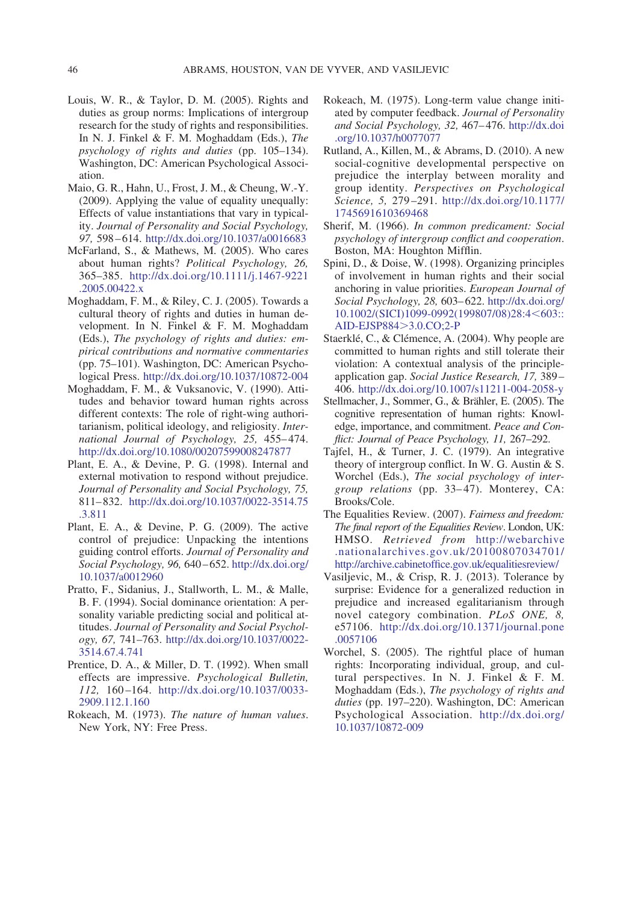- Louis, W. R., & Taylor, D. M. (2005). Rights and duties as group norms: Implications of intergroup research for the study of rights and responsibilities. In N. J. Finkel & F. M. Moghaddam (Eds.), *The psychology of rights and duties* (pp. 105–134). Washington, DC: American Psychological Association.
- Maio, G. R., Hahn, U., Frost, J. M., & Cheung, W.-Y. (2009). Applying the value of equality unequally: Effects of value instantiations that vary in typicality. *Journal of Personality and Social Psychology, 97,* 598–614. <http://dx.doi.org/10.1037/a0016683>
- McFarland, S., & Mathews, M. (2005). Who cares about human rights? *Political Psychology, 26,* 365–385. [http://dx.doi.org/10.1111/j.1467-9221](http://dx.doi.org/10.1111/j.1467-9221.2005.00422.x) [.2005.00422.x](http://dx.doi.org/10.1111/j.1467-9221.2005.00422.x)
- Moghaddam, F. M., & Riley, C. J. (2005). Towards a cultural theory of rights and duties in human development. In N. Finkel & F. M. Moghaddam (Eds.), *The psychology of rights and duties: empirical contributions and normative commentaries* (pp. 75–101). Washington, DC: American Psychological Press. <http://dx.doi.org/10.1037/10872-004>
- Moghaddam, F. M., & Vuksanovic, V. (1990). Attitudes and behavior toward human rights across different contexts: The role of right-wing authoritarianism, political ideology, and religiosity. *International Journal of Psychology, 25,* 455–474. <http://dx.doi.org/10.1080/00207599008247877>
- Plant, E. A., & Devine, P. G. (1998). Internal and external motivation to respond without prejudice. *Journal of Personality and Social Psychology, 75,* 811–832. [http://dx.doi.org/10.1037/0022-3514.75](http://dx.doi.org/10.1037/0022-3514.75.3.811) [.3.811](http://dx.doi.org/10.1037/0022-3514.75.3.811)
- Plant, E. A., & Devine, P. G. (2009). The active control of prejudice: Unpacking the intentions guiding control efforts. *Journal of Personality and Social Psychology, 96,* 640–652. [http://dx.doi.org/](http://dx.doi.org/10.1037/a0012960) [10.1037/a0012960](http://dx.doi.org/10.1037/a0012960)
- Pratto, F., Sidanius, J., Stallworth, L. M., & Malle, B. F. (1994). Social dominance orientation: A personality variable predicting social and political attitudes. *Journal of Personality and Social Psychology, 67,* 741–763. [http://dx.doi.org/10.1037/0022-](http://dx.doi.org/10.1037/0022-3514.67.4.741) [3514.67.4.741](http://dx.doi.org/10.1037/0022-3514.67.4.741)
- Prentice, D. A., & Miller, D. T. (1992). When small effects are impressive. *Psychological Bulletin, 112,* 160–164. [http://dx.doi.org/10.1037/0033-](http://dx.doi.org/10.1037/0033-2909.112.1.160) [2909.112.1.160](http://dx.doi.org/10.1037/0033-2909.112.1.160)
- Rokeach, M. (1973). *The nature of human values*. New York, NY: Free Press.
- Rokeach, M. (1975). Long-term value change initiated by computer feedback. *Journal of Personality and Social Psychology, 32,* 467–476. [http://dx.doi](http://dx.doi.org/10.1037/h0077077) [.org/10.1037/h0077077](http://dx.doi.org/10.1037/h0077077)
- Rutland, A., Killen, M., & Abrams, D. (2010). A new social-cognitive developmental perspective on prejudice the interplay between morality and group identity. *Perspectives on Psychological Science, 5,* 279–291. [http://dx.doi.org/10.1177/](http://dx.doi.org/10.1177/1745691610369468) [1745691610369468](http://dx.doi.org/10.1177/1745691610369468)
- Sherif, M. (1966). *In common predicament: Social psychology of intergroup conflict and cooperation*. Boston, MA: Houghton Mifflin.
- Spini, D., & Doise, W. (1998). Organizing principles of involvement in human rights and their social anchoring in value priorities. *European Journal of Social Psychology, 28,* 603–622. [http://dx.doi.org/](http://dx.doi.org/10.1002/%28SICI%291099-0992%28199807/08%2928:4%3C603::AID-EJSP884%3E3.0.CO;2-P) [10.1002/\(SICI\)1099-0992\(199807/08\)28:4](http://dx.doi.org/10.1002/%28SICI%291099-0992%28199807/08%2928:4%3C603::AID-EJSP884%3E3.0.CO;2-P)<603:: [AID-EJSP884](http://dx.doi.org/10.1002/%28SICI%291099-0992%28199807/08%2928:4%3C603::AID-EJSP884%3E3.0.CO;2-P)>3.0.CO;2-P
- Staerklé, C., & Clémence, A. (2004). Why people are committed to human rights and still tolerate their violation: A contextual analysis of the principleapplication gap. *Social Justice Research, 17,* 389– 406. <http://dx.doi.org/10.1007/s11211-004-2058-y>
- Stellmacher, J., Sommer, G., & Brähler, E. (2005). The cognitive representation of human rights: Knowledge, importance, and commitment. *Peace and Conflict: Journal of Peace Psychology, 11,* 267–292.
- Tajfel, H., & Turner, J. C. (1979). An integrative theory of intergroup conflict. In W. G. Austin & S. Worchel (Eds.), *The social psychology of intergroup relations* (pp. 33–47). Monterey, CA: Brooks/Cole.
- The Equalities Review. (2007). *Fairness and freedom: The final report of the Equalities Review*. London, UK: HMSO. *Retrieved from* [http://webarchive](http://webarchive.nationalarchives.gov.uk/20100807034701/http:/archive.cabinetoffice.gov.uk/equalitiesreview/) [.nationalarchives.gov.uk/20100807034701/](http://webarchive.nationalarchives.gov.uk/20100807034701/http:/archive.cabinetoffice.gov.uk/equalitiesreview/) [http://archive.cabinetoffice.gov.uk/equalitiesreview/](http://webarchive.nationalarchives.gov.uk/20100807034701/http:/archive.cabinetoffice.gov.uk/equalitiesreview/)
- Vasiljevic, M., & Crisp, R. J. (2013). Tolerance by surprise: Evidence for a generalized reduction in prejudice and increased egalitarianism through novel category combination. *PLoS ONE, 8,* e57106. [http://dx.doi.org/10.1371/journal.pone](http://dx.doi.org/10.1371/journal.pone.0057106) [.0057106](http://dx.doi.org/10.1371/journal.pone.0057106)
- Worchel, S. (2005). The rightful place of human rights: Incorporating individual, group, and cultural perspectives. In N. J. Finkel & F. M. Moghaddam (Eds.), *The psychology of rights and duties* (pp. 197–220). Washington, DC: American Psychological Association. [http://dx.doi.org/](http://dx.doi.org/10.1037/10872-009) [10.1037/10872-009](http://dx.doi.org/10.1037/10872-009)